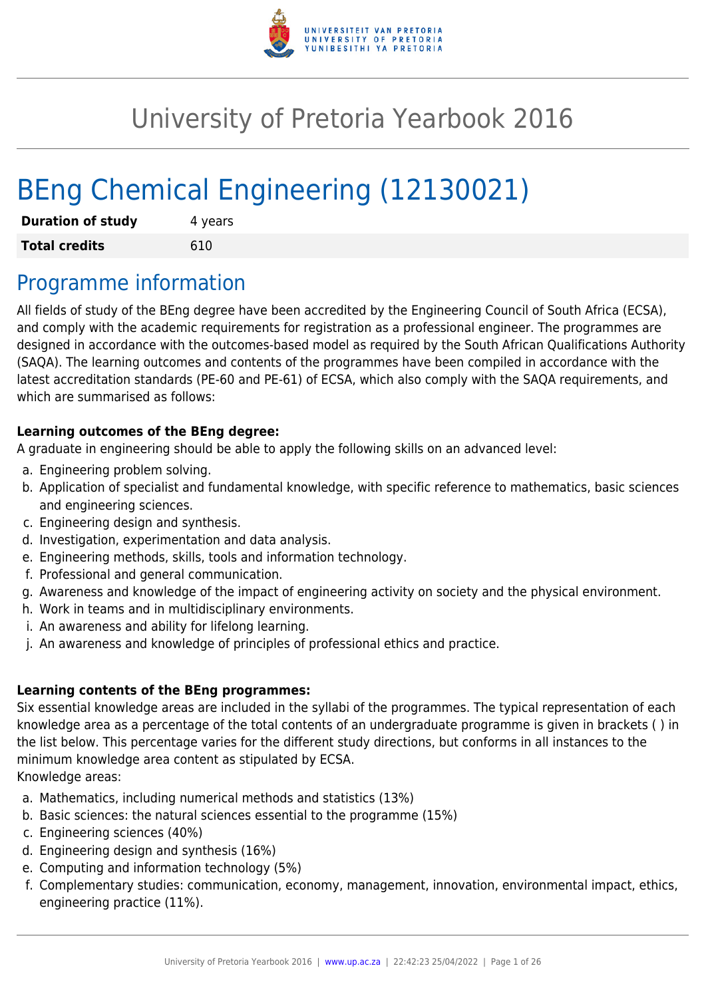

# University of Pretoria Yearbook 2016

# BEng Chemical Engineering (12130021)

| <b>Duration of study</b> | 4 years |  |  |
|--------------------------|---------|--|--|
| <b>Total credits</b>     | 610     |  |  |

## Programme information

All fields of study of the BEng degree have been accredited by the Engineering Council of South Africa (ECSA), and comply with the academic requirements for registration as a professional engineer. The programmes are designed in accordance with the outcomes-based model as required by the South African Qualifications Authority (SAQA). The learning outcomes and contents of the programmes have been compiled in accordance with the latest accreditation standards (PE-60 and PE-61) of ECSA, which also comply with the SAQA requirements, and which are summarised as follows:

## **Learning outcomes of the BEng degree:**

A graduate in engineering should be able to apply the following skills on an advanced level:

- a. Engineering problem solving.
- b. Application of specialist and fundamental knowledge, with specific reference to mathematics, basic sciences and engineering sciences.
- c. Engineering design and synthesis.
- d. Investigation, experimentation and data analysis.
- e. Engineering methods, skills, tools and information technology.
- f. Professional and general communication.
- g. Awareness and knowledge of the impact of engineering activity on society and the physical environment.
- h. Work in teams and in multidisciplinary environments.
- i. An awareness and ability for lifelong learning.
- j. An awareness and knowledge of principles of professional ethics and practice.

## **Learning contents of the BEng programmes:**

Six essential knowledge areas are included in the syllabi of the programmes. The typical representation of each knowledge area as a percentage of the total contents of an undergraduate programme is given in brackets ( ) in the list below. This percentage varies for the different study directions, but conforms in all instances to the minimum knowledge area content as stipulated by ECSA.

Knowledge areas:

- a. Mathematics, including numerical methods and statistics (13%)
- b. Basic sciences: the natural sciences essential to the programme (15%)
- c. Engineering sciences (40%)
- d. Engineering design and synthesis (16%)
- e. Computing and information technology (5%)
- f. Complementary studies: communication, economy, management, innovation, environmental impact, ethics, engineering practice (11%).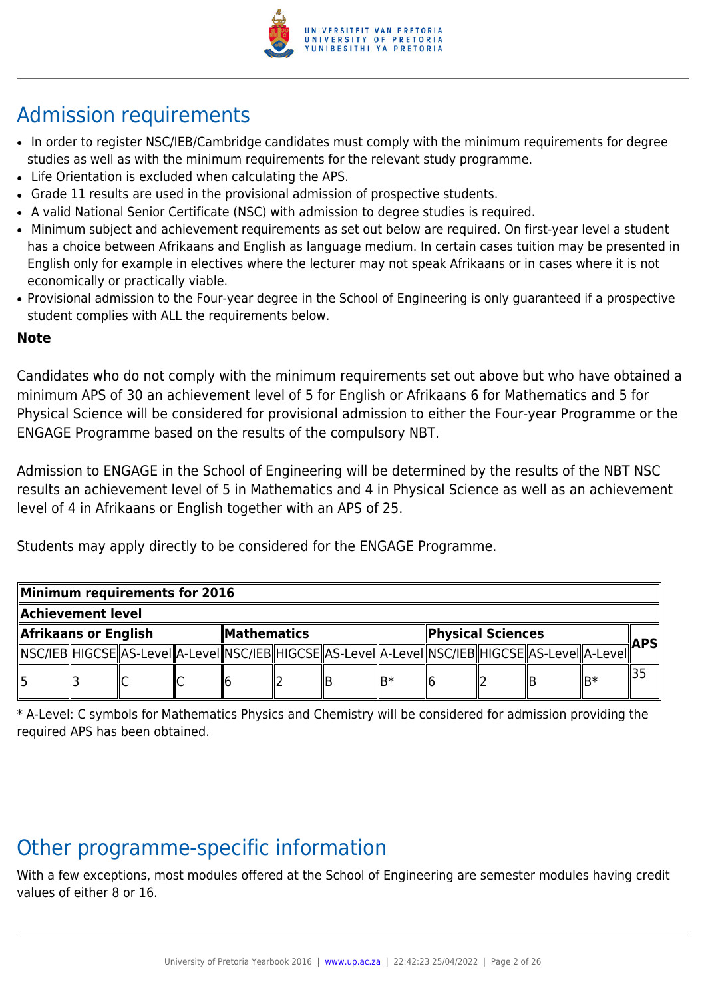

## Admission requirements

- In order to register NSC/IEB/Cambridge candidates must comply with the minimum requirements for degree studies as well as with the minimum requirements for the relevant study programme.
- Life Orientation is excluded when calculating the APS.
- Grade 11 results are used in the provisional admission of prospective students.
- A valid National Senior Certificate (NSC) with admission to degree studies is required.
- Minimum subject and achievement requirements as set out below are required. On first-year level a student has a choice between Afrikaans and English as language medium. In certain cases tuition may be presented in English only for example in electives where the lecturer may not speak Afrikaans or in cases where it is not economically or practically viable.
- Provisional admission to the Four-year degree in the School of Engineering is only guaranteed if a prospective student complies with ALL the requirements below.

## **Note**

Candidates who do not comply with the minimum requirements set out above but who have obtained a minimum APS of 30 an achievement level of 5 for English or Afrikaans 6 for Mathematics and 5 for Physical Science will be considered for provisional admission to either the Four-year Programme or the ENGAGE Programme based on the results of the compulsory NBT.

Admission to ENGAGE in the School of Engineering will be determined by the results of the NBT NSC results an achievement level of 5 in Mathematics and 4 in Physical Science as well as an achievement level of 4 in Afrikaans or English together with an APS of 25.

Students may apply directly to be considered for the ENGAGE Programme.

|                      | Minimum requirements for 2016 |  |                    |  |  |                   |      |  |      |                                                                                                              |      |  |
|----------------------|-------------------------------|--|--------------------|--|--|-------------------|------|--|------|--------------------------------------------------------------------------------------------------------------|------|--|
| Achievement level    |                               |  |                    |  |  |                   |      |  |      |                                                                                                              |      |  |
| Afrikaans or English |                               |  | <b>Mathematics</b> |  |  | Physical Sciences |      |  | APSI |                                                                                                              |      |  |
|                      |                               |  |                    |  |  |                   |      |  |      | [ NSC/IEB  HIGCSE  AS-Level  A-Level  NSC/IEB  HIGCSE  AS-Level  A-Level  NSC/IEB  HIGCSE  AS-Level  A-Level |      |  |
| 15                   |                               |  |                    |  |  |                   | ⊪lR* |  |      |                                                                                                              | llB* |  |

\* A-Level: C symbols for Mathematics Physics and Chemistry will be considered for admission providing the required APS has been obtained.

## Other programme-specific information

With a few exceptions, most modules offered at the School of Engineering are semester modules having credit values of either 8 or 16.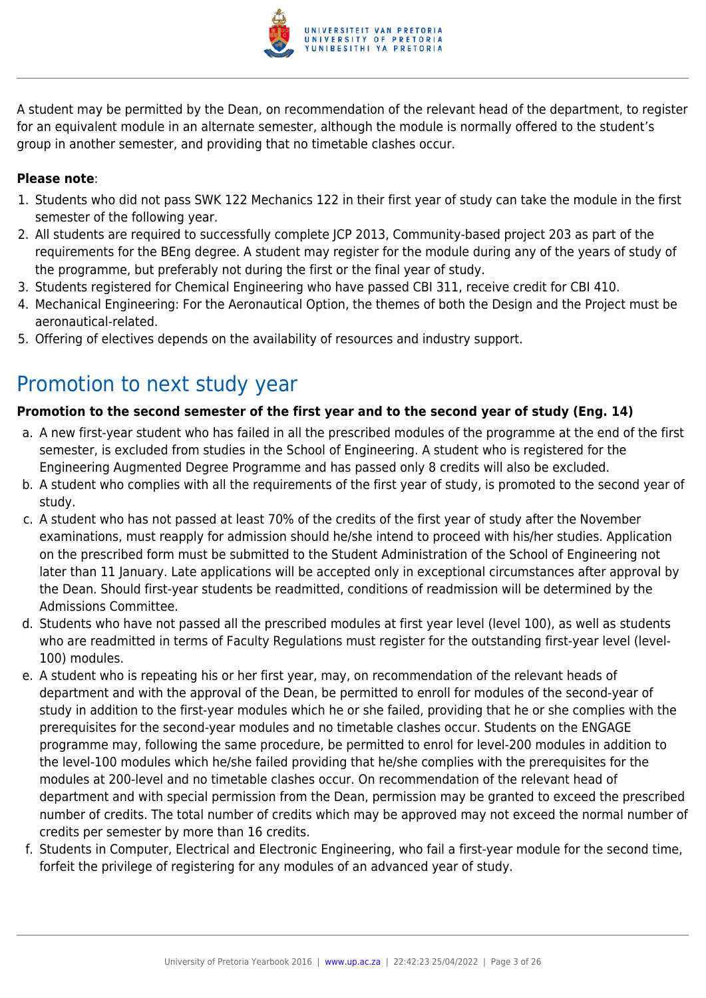

A student may be permitted by the Dean, on recommendation of the relevant head of the department, to register for an equivalent module in an alternate semester, although the module is normally offered to the student's group in another semester, and providing that no timetable clashes occur.

## **Please note**:

- 1. Students who did not pass SWK 122 Mechanics 122 in their first year of study can take the module in the first semester of the following year.
- 2. All students are required to successfully complete JCP 2013, Community-based project 203 as part of the requirements for the BEng degree. A student may register for the module during any of the years of study of the programme, but preferably not during the first or the final year of study.
- 3. Students registered for Chemical Engineering who have passed CBI 311, receive credit for CBI 410.
- 4. Mechanical Engineering: For the Aeronautical Option, the themes of both the Design and the Project must be aeronautical-related.
- 5. Offering of electives depends on the availability of resources and industry support.

## Promotion to next study year

## **Promotion to the second semester of the first year and to the second year of study (Eng. 14)**

- a. A new first-year student who has failed in all the prescribed modules of the programme at the end of the first semester, is excluded from studies in the School of Engineering. A student who is registered for the Engineering Augmented Degree Programme and has passed only 8 credits will also be excluded.
- b. A student who complies with all the requirements of the first year of study, is promoted to the second year of study.
- c. A student who has not passed at least 70% of the credits of the first year of study after the November examinations, must reapply for admission should he/she intend to proceed with his/her studies. Application on the prescribed form must be submitted to the Student Administration of the School of Engineering not later than 11 January. Late applications will be accepted only in exceptional circumstances after approval by the Dean. Should first-year students be readmitted, conditions of readmission will be determined by the Admissions Committee.
- d. Students who have not passed all the prescribed modules at first year level (level 100), as well as students who are readmitted in terms of Faculty Regulations must register for the outstanding first-year level (level-100) modules.
- e. A student who is repeating his or her first year, may, on recommendation of the relevant heads of department and with the approval of the Dean, be permitted to enroll for modules of the second-year of study in addition to the first-year modules which he or she failed, providing that he or she complies with the prerequisites for the second-year modules and no timetable clashes occur. Students on the ENGAGE programme may, following the same procedure, be permitted to enrol for level-200 modules in addition to the level-100 modules which he/she failed providing that he/she complies with the prerequisites for the modules at 200-level and no timetable clashes occur. On recommendation of the relevant head of department and with special permission from the Dean, permission may be granted to exceed the prescribed number of credits. The total number of credits which may be approved may not exceed the normal number of credits per semester by more than 16 credits.
- f. Students in Computer, Electrical and Electronic Engineering, who fail a first-year module for the second time, forfeit the privilege of registering for any modules of an advanced year of study.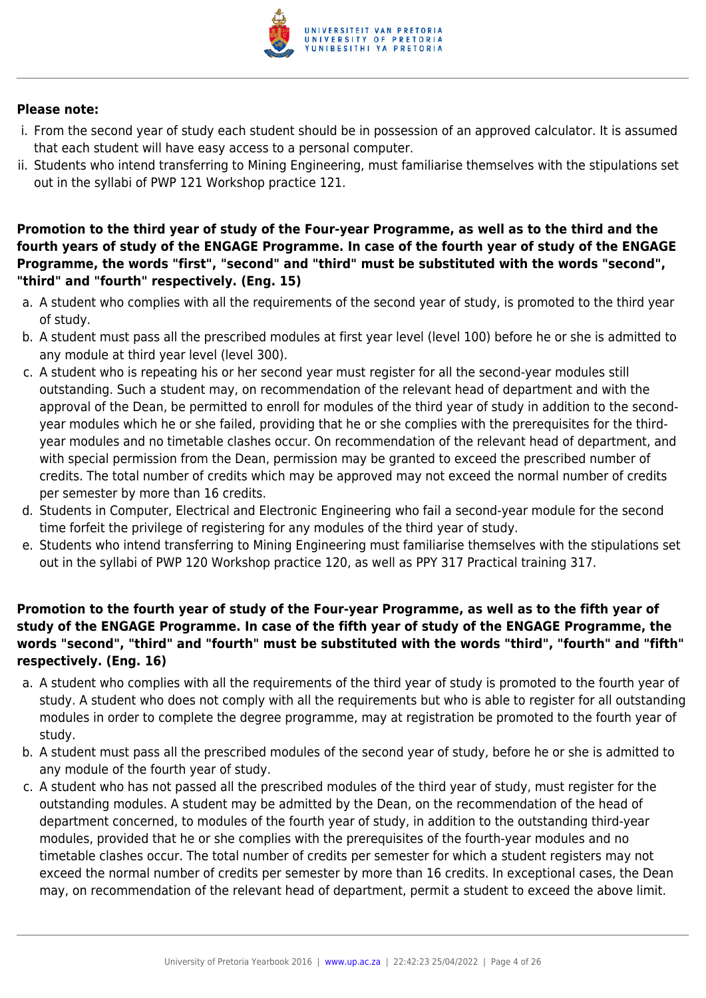

#### **Please note:**

- i. From the second year of study each student should be in possession of an approved calculator. It is assumed that each student will have easy access to a personal computer.
- ii. Students who intend transferring to Mining Engineering, must familiarise themselves with the stipulations set out in the syllabi of PWP 121 Workshop practice 121.

## **Promotion to the third year of study of the Four-year Programme, as well as to the third and the fourth years of study of the ENGAGE Programme. In case of the fourth year of study of the ENGAGE Programme, the words "first", "second" and "third" must be substituted with the words "second", "third" and "fourth" respectively. (Eng. 15)**

- a. A student who complies with all the requirements of the second year of study, is promoted to the third year of study.
- b. A student must pass all the prescribed modules at first year level (level 100) before he or she is admitted to any module at third year level (level 300).
- c. A student who is repeating his or her second year must register for all the second-year modules still outstanding. Such a student may, on recommendation of the relevant head of department and with the approval of the Dean, be permitted to enroll for modules of the third year of study in addition to the secondyear modules which he or she failed, providing that he or she complies with the prerequisites for the thirdyear modules and no timetable clashes occur. On recommendation of the relevant head of department, and with special permission from the Dean, permission may be granted to exceed the prescribed number of credits. The total number of credits which may be approved may not exceed the normal number of credits per semester by more than 16 credits.
- d. Students in Computer, Electrical and Electronic Engineering who fail a second-year module for the second time forfeit the privilege of registering for any modules of the third year of study.
- e. Students who intend transferring to Mining Engineering must familiarise themselves with the stipulations set out in the syllabi of PWP 120 Workshop practice 120, as well as PPY 317 Practical training 317.

## **Promotion to the fourth year of study of the Four-year Programme, as well as to the fifth year of study of the ENGAGE Programme. In case of the fifth year of study of the ENGAGE Programme, the words "second", "third" and "fourth" must be substituted with the words "third", "fourth" and "fifth" respectively. (Eng. 16)**

- a. A student who complies with all the requirements of the third year of study is promoted to the fourth year of study. A student who does not comply with all the requirements but who is able to register for all outstanding modules in order to complete the degree programme, may at registration be promoted to the fourth year of study.
- b. A student must pass all the prescribed modules of the second year of study, before he or she is admitted to any module of the fourth year of study.
- c. A student who has not passed all the prescribed modules of the third year of study, must register for the outstanding modules. A student may be admitted by the Dean, on the recommendation of the head of department concerned, to modules of the fourth year of study, in addition to the outstanding third-year modules, provided that he or she complies with the prerequisites of the fourth-year modules and no timetable clashes occur. The total number of credits per semester for which a student registers may not exceed the normal number of credits per semester by more than 16 credits. In exceptional cases, the Dean may, on recommendation of the relevant head of department, permit a student to exceed the above limit.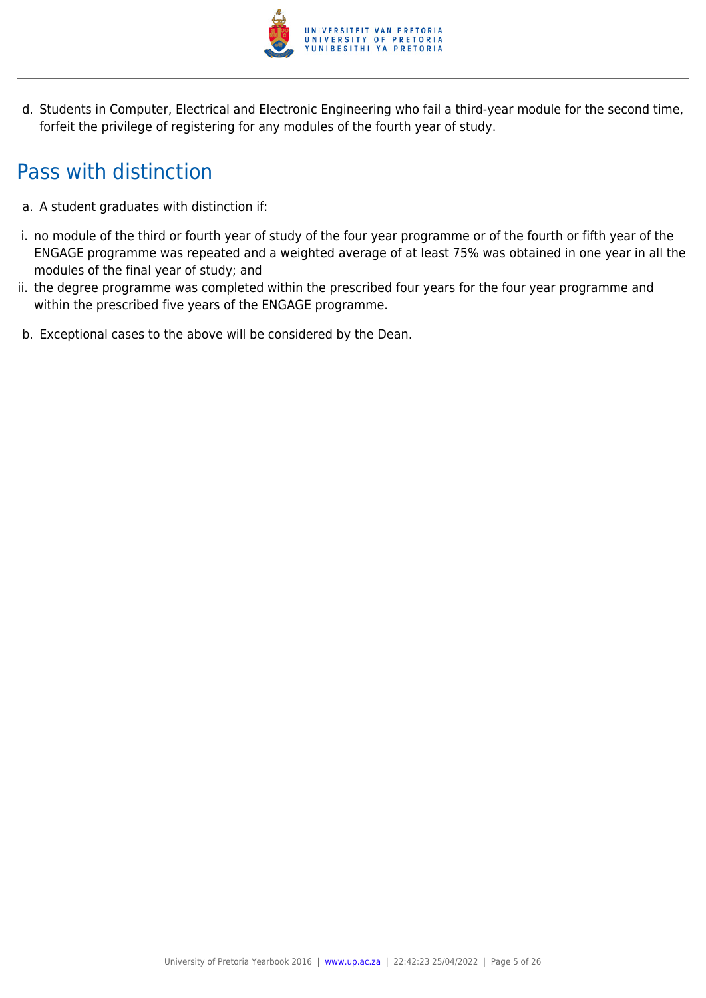

d. Students in Computer, Electrical and Electronic Engineering who fail a third-year module for the second time, forfeit the privilege of registering for any modules of the fourth year of study.

## Pass with distinction

- a. A student graduates with distinction if:
- i. no module of the third or fourth year of study of the four year programme or of the fourth or fifth year of the ENGAGE programme was repeated and a weighted average of at least 75% was obtained in one year in all the modules of the final year of study; and
- ii. the degree programme was completed within the prescribed four years for the four year programme and within the prescribed five years of the ENGAGE programme.
- b. Exceptional cases to the above will be considered by the Dean.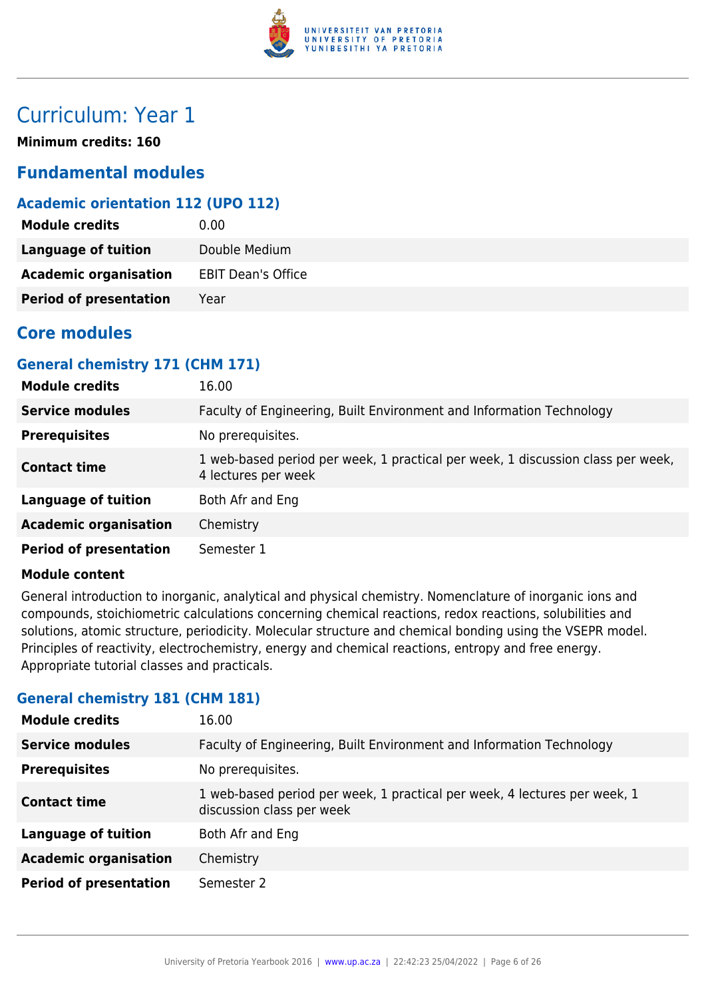

## Curriculum: Year 1

**Minimum credits: 160**

## **Fundamental modules**

## **Academic orientation 112 (UPO 112)**

| <b>Module credits</b>         | 0.00                      |
|-------------------------------|---------------------------|
| <b>Language of tuition</b>    | Double Medium             |
| <b>Academic organisation</b>  | <b>EBIT Dean's Office</b> |
| <b>Period of presentation</b> | Year                      |

## **Core modules**

## **General chemistry 171 (CHM 171)**

| <b>Module credits</b>         | 16.00                                                                                                  |
|-------------------------------|--------------------------------------------------------------------------------------------------------|
| <b>Service modules</b>        | Faculty of Engineering, Built Environment and Information Technology                                   |
| <b>Prerequisites</b>          | No prerequisites.                                                                                      |
| <b>Contact time</b>           | 1 web-based period per week, 1 practical per week, 1 discussion class per week,<br>4 lectures per week |
| <b>Language of tuition</b>    | Both Afr and Eng                                                                                       |
| <b>Academic organisation</b>  | Chemistry                                                                                              |
| <b>Period of presentation</b> | Semester 1                                                                                             |

#### **Module content**

General introduction to inorganic, analytical and physical chemistry. Nomenclature of inorganic ions and compounds, stoichiometric calculations concerning chemical reactions, redox reactions, solubilities and solutions, atomic structure, periodicity. Molecular structure and chemical bonding using the VSEPR model. Principles of reactivity, electrochemistry, energy and chemical reactions, entropy and free energy. Appropriate tutorial classes and practicals.

## **General chemistry 181 (CHM 181)**

| <b>Module credits</b>         | 16.00                                                                                                  |
|-------------------------------|--------------------------------------------------------------------------------------------------------|
| <b>Service modules</b>        | Faculty of Engineering, Built Environment and Information Technology                                   |
| <b>Prerequisites</b>          | No prerequisites.                                                                                      |
| <b>Contact time</b>           | 1 web-based period per week, 1 practical per week, 4 lectures per week, 1<br>discussion class per week |
| <b>Language of tuition</b>    | Both Afr and Eng                                                                                       |
| <b>Academic organisation</b>  | Chemistry                                                                                              |
| <b>Period of presentation</b> | Semester 2                                                                                             |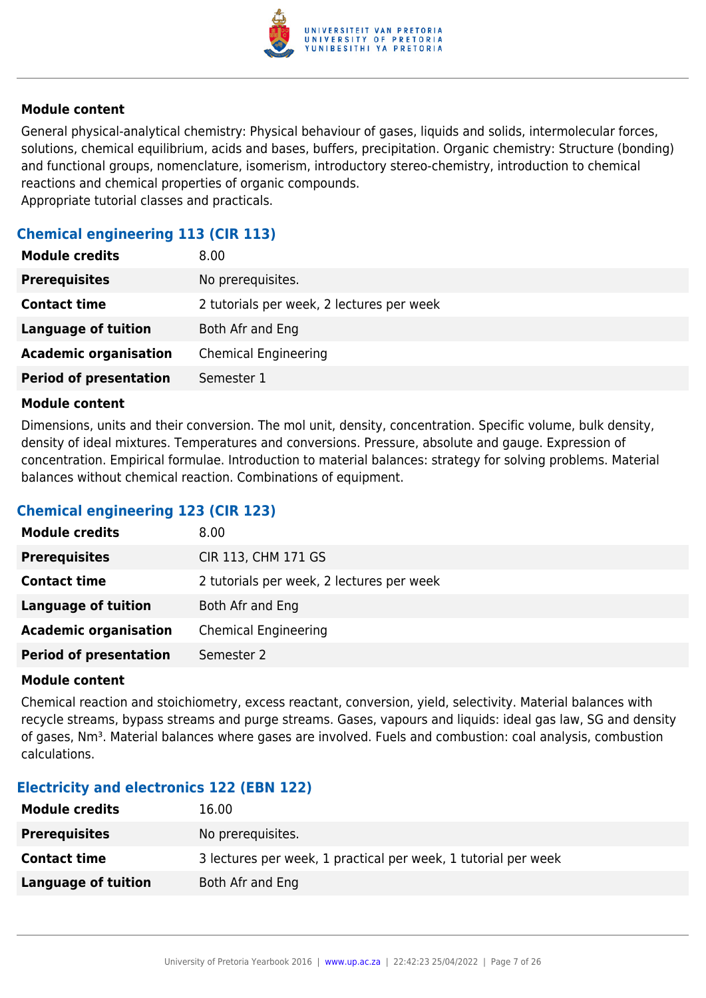

General physical-analytical chemistry: Physical behaviour of gases, liquids and solids, intermolecular forces, solutions, chemical equilibrium, acids and bases, buffers, precipitation. Organic chemistry: Structure (bonding) and functional groups, nomenclature, isomerism, introductory stereo-chemistry, introduction to chemical reactions and chemical properties of organic compounds. Appropriate tutorial classes and practicals.

## **Chemical engineering 113 (CIR 113)**

| <b>Module credits</b>         | 8.00                                      |
|-------------------------------|-------------------------------------------|
| <b>Prerequisites</b>          | No prerequisites.                         |
| <b>Contact time</b>           | 2 tutorials per week, 2 lectures per week |
| <b>Language of tuition</b>    | Both Afr and Eng                          |
| <b>Academic organisation</b>  | <b>Chemical Engineering</b>               |
| <b>Period of presentation</b> | Semester 1                                |

#### **Module content**

Dimensions, units and their conversion. The mol unit, density, concentration. Specific volume, bulk density, density of ideal mixtures. Temperatures and conversions. Pressure, absolute and gauge. Expression of concentration. Empirical formulae. Introduction to material balances: strategy for solving problems. Material balances without chemical reaction. Combinations of equipment.

## **Chemical engineering 123 (CIR 123)**

| <b>Module credits</b>         | 8.00                                      |
|-------------------------------|-------------------------------------------|
| <b>Prerequisites</b>          | CIR 113, CHM 171 GS                       |
| <b>Contact time</b>           | 2 tutorials per week, 2 lectures per week |
| Language of tuition           | Both Afr and Eng                          |
| <b>Academic organisation</b>  | <b>Chemical Engineering</b>               |
| <b>Period of presentation</b> | Semester 2                                |

#### **Module content**

Chemical reaction and stoichiometry, excess reactant, conversion, yield, selectivity. Material balances with recycle streams, bypass streams and purge streams. Gases, vapours and liquids: ideal gas law, SG and density of gases, Nm<sup>3</sup>. Material balances where gases are involved. Fuels and combustion: coal analysis, combustion calculations.

## **Electricity and electronics 122 (EBN 122)**

| <b>Module credits</b> | 16.00                                                          |
|-----------------------|----------------------------------------------------------------|
| <b>Prerequisites</b>  | No prerequisites.                                              |
| <b>Contact time</b>   | 3 lectures per week, 1 practical per week, 1 tutorial per week |
| Language of tuition   | Both Afr and Eng                                               |
|                       |                                                                |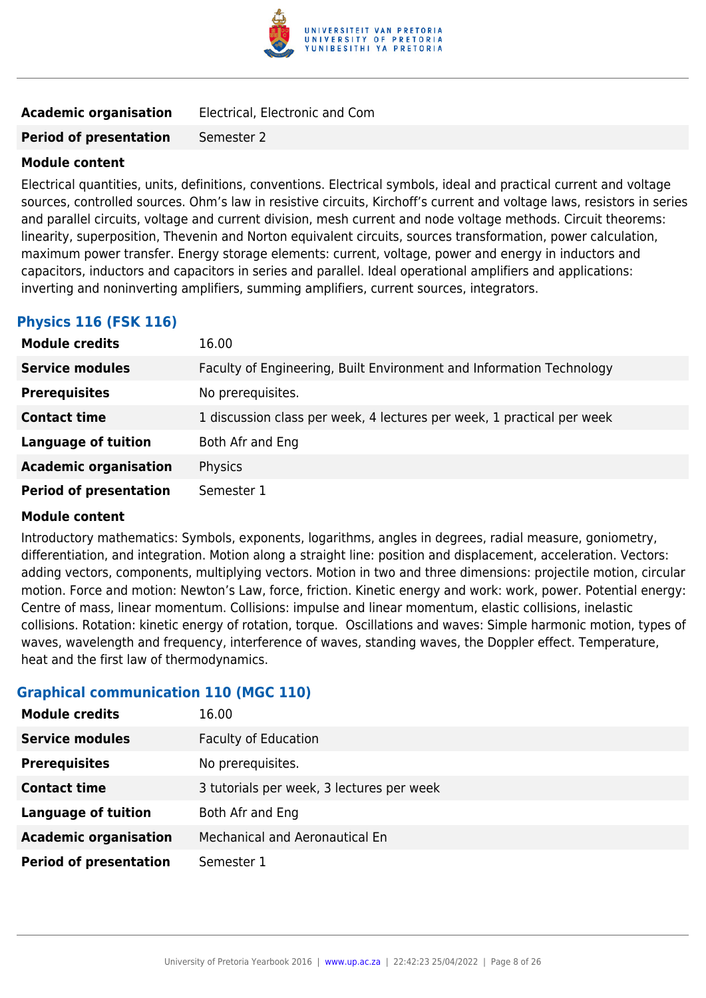

|  | <b>Academic organisation</b> |  |  | Electrical, Electronic and Com |  |
|--|------------------------------|--|--|--------------------------------|--|
|--|------------------------------|--|--|--------------------------------|--|

**Period of presentation** Semester 2

## **Module content**

Electrical quantities, units, definitions, conventions. Electrical symbols, ideal and practical current and voltage sources, controlled sources. Ohm's law in resistive circuits, Kirchoff's current and voltage laws, resistors in series and parallel circuits, voltage and current division, mesh current and node voltage methods. Circuit theorems: linearity, superposition, Thevenin and Norton equivalent circuits, sources transformation, power calculation, maximum power transfer. Energy storage elements: current, voltage, power and energy in inductors and capacitors, inductors and capacitors in series and parallel. Ideal operational amplifiers and applications: inverting and noninverting amplifiers, summing amplifiers, current sources, integrators.

## **Physics 116 (FSK 116)**

| <b>Module credits</b>         | 16.00                                                                  |
|-------------------------------|------------------------------------------------------------------------|
| <b>Service modules</b>        | Faculty of Engineering, Built Environment and Information Technology   |
| <b>Prerequisites</b>          | No prerequisites.                                                      |
| <b>Contact time</b>           | 1 discussion class per week, 4 lectures per week, 1 practical per week |
| <b>Language of tuition</b>    | Both Afr and Eng                                                       |
| <b>Academic organisation</b>  | Physics                                                                |
| <b>Period of presentation</b> | Semester 1                                                             |

## **Module content**

Introductory mathematics: Symbols, exponents, logarithms, angles in degrees, radial measure, goniometry, differentiation, and integration. Motion along a straight line: position and displacement, acceleration. Vectors: adding vectors, components, multiplying vectors. Motion in two and three dimensions: projectile motion, circular motion. Force and motion: Newton's Law, force, friction. Kinetic energy and work: work, power. Potential energy: Centre of mass, linear momentum. Collisions: impulse and linear momentum, elastic collisions, inelastic collisions. Rotation: kinetic energy of rotation, torque. Oscillations and waves: Simple harmonic motion, types of waves, wavelength and frequency, interference of waves, standing waves, the Doppler effect. Temperature, heat and the first law of thermodynamics.

## **Graphical communication 110 (MGC 110)**

| <b>Module credits</b>         | 16.00                                     |
|-------------------------------|-------------------------------------------|
| <b>Service modules</b>        | <b>Faculty of Education</b>               |
| <b>Prerequisites</b>          | No prerequisites.                         |
| <b>Contact time</b>           | 3 tutorials per week, 3 lectures per week |
| <b>Language of tuition</b>    | Both Afr and Eng                          |
| <b>Academic organisation</b>  | Mechanical and Aeronautical En            |
| <b>Period of presentation</b> | Semester 1                                |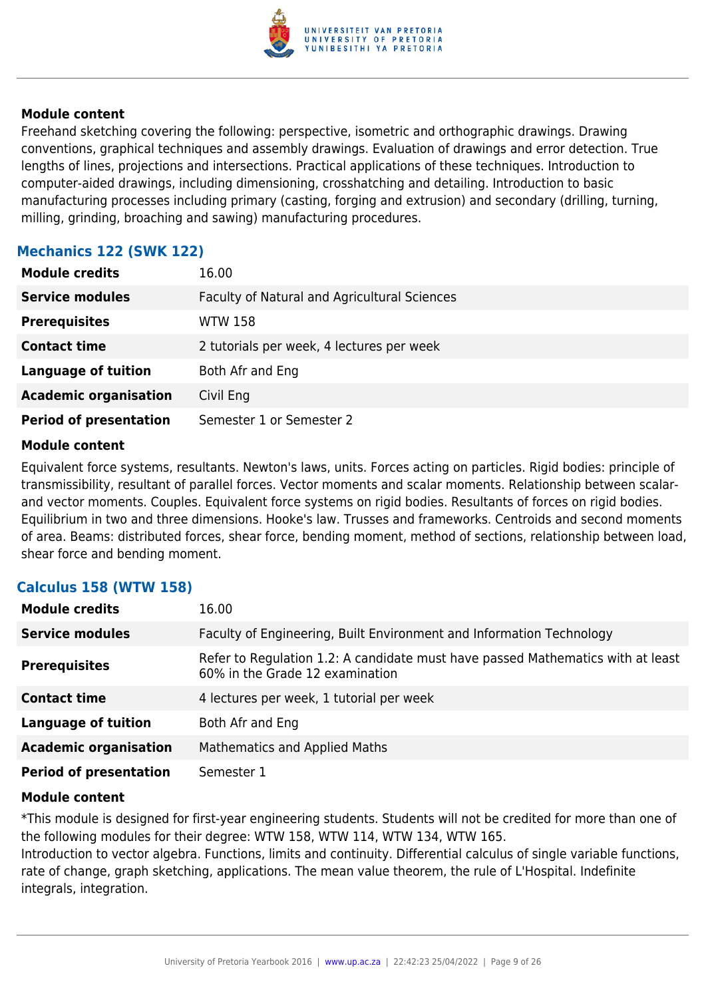

Freehand sketching covering the following: perspective, isometric and orthographic drawings. Drawing conventions, graphical techniques and assembly drawings. Evaluation of drawings and error detection. True lengths of lines, projections and intersections. Practical applications of these techniques. Introduction to computer-aided drawings, including dimensioning, crosshatching and detailing. Introduction to basic manufacturing processes including primary (casting, forging and extrusion) and secondary (drilling, turning, milling, grinding, broaching and sawing) manufacturing procedures.

## **Mechanics 122 (SWK 122)**

| <b>Module credits</b>         | 16.00                                        |
|-------------------------------|----------------------------------------------|
| <b>Service modules</b>        | Faculty of Natural and Agricultural Sciences |
| <b>Prerequisites</b>          | <b>WTW 158</b>                               |
| <b>Contact time</b>           | 2 tutorials per week, 4 lectures per week    |
| <b>Language of tuition</b>    | Both Afr and Eng                             |
| <b>Academic organisation</b>  | Civil Eng                                    |
| <b>Period of presentation</b> | Semester 1 or Semester 2                     |

#### **Module content**

Equivalent force systems, resultants. Newton's laws, units. Forces acting on particles. Rigid bodies: principle of transmissibility, resultant of parallel forces. Vector moments and scalar moments. Relationship between scalarand vector moments. Couples. Equivalent force systems on rigid bodies. Resultants of forces on rigid bodies. Equilibrium in two and three dimensions. Hooke's law. Trusses and frameworks. Centroids and second moments of area. Beams: distributed forces, shear force, bending moment, method of sections, relationship between load, shear force and bending moment.

## **Calculus 158 (WTW 158)**

| <b>Module credits</b>         | 16.00                                                                                                              |  |  |
|-------------------------------|--------------------------------------------------------------------------------------------------------------------|--|--|
| <b>Service modules</b>        | Faculty of Engineering, Built Environment and Information Technology                                               |  |  |
| <b>Prerequisites</b>          | Refer to Regulation 1.2: A candidate must have passed Mathematics with at least<br>60% in the Grade 12 examination |  |  |
| <b>Contact time</b>           | 4 lectures per week, 1 tutorial per week                                                                           |  |  |
| <b>Language of tuition</b>    | Both Afr and Eng                                                                                                   |  |  |
| <b>Academic organisation</b>  | Mathematics and Applied Maths                                                                                      |  |  |
| <b>Period of presentation</b> | Semester 1                                                                                                         |  |  |

## **Module content**

\*This module is designed for first-year engineering students. Students will not be credited for more than one of the following modules for their degree: WTW 158, WTW 114, WTW 134, WTW 165.

Introduction to vector algebra. Functions, limits and continuity. Differential calculus of single variable functions, rate of change, graph sketching, applications. The mean value theorem, the rule of L'Hospital. Indefinite integrals, integration.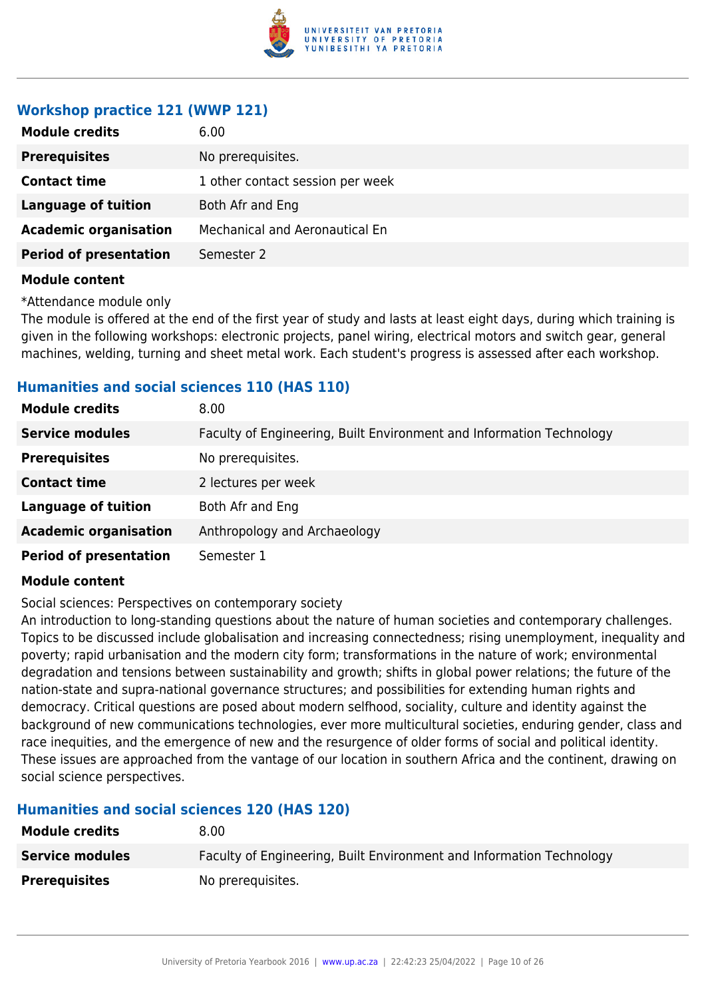

## **Workshop practice 121 (WWP 121)**

| <b>Module credits</b>         | 6.00                             |  |
|-------------------------------|----------------------------------|--|
| <b>Prerequisites</b>          | No prerequisites.                |  |
| <b>Contact time</b>           | 1 other contact session per week |  |
| <b>Language of tuition</b>    | Both Afr and Eng                 |  |
| <b>Academic organisation</b>  | Mechanical and Aeronautical En   |  |
| <b>Period of presentation</b> | Semester 2                       |  |
| .                             |                                  |  |

#### **Module content**

\*Attendance module only

The module is offered at the end of the first year of study and lasts at least eight days, during which training is given in the following workshops: electronic projects, panel wiring, electrical motors and switch gear, general machines, welding, turning and sheet metal work. Each student's progress is assessed after each workshop.

## **Humanities and social sciences 110 (HAS 110)**

| <b>Module credits</b>         | 8.00                                                                 |  |  |
|-------------------------------|----------------------------------------------------------------------|--|--|
| <b>Service modules</b>        | Faculty of Engineering, Built Environment and Information Technology |  |  |
| <b>Prerequisites</b>          | No prerequisites.                                                    |  |  |
| <b>Contact time</b>           | 2 lectures per week                                                  |  |  |
| <b>Language of tuition</b>    | Both Afr and Eng                                                     |  |  |
| <b>Academic organisation</b>  | Anthropology and Archaeology                                         |  |  |
| <b>Period of presentation</b> | Semester 1                                                           |  |  |

## **Module content**

Social sciences: Perspectives on contemporary society

An introduction to long-standing questions about the nature of human societies and contemporary challenges. Topics to be discussed include globalisation and increasing connectedness; rising unemployment, inequality and poverty; rapid urbanisation and the modern city form; transformations in the nature of work; environmental degradation and tensions between sustainability and growth; shifts in global power relations; the future of the nation-state and supra-national governance structures; and possibilities for extending human rights and democracy. Critical questions are posed about modern selfhood, sociality, culture and identity against the background of new communications technologies, ever more multicultural societies, enduring gender, class and race inequities, and the emergence of new and the resurgence of older forms of social and political identity. These issues are approached from the vantage of our location in southern Africa and the continent, drawing on social science perspectives.

## **Humanities and social sciences 120 (HAS 120)**

| <b>Module credits</b>  | 8.00                                                                 |  |  |
|------------------------|----------------------------------------------------------------------|--|--|
| <b>Service modules</b> | Faculty of Engineering, Built Environment and Information Technology |  |  |
| <b>Prerequisites</b>   | No prerequisites.                                                    |  |  |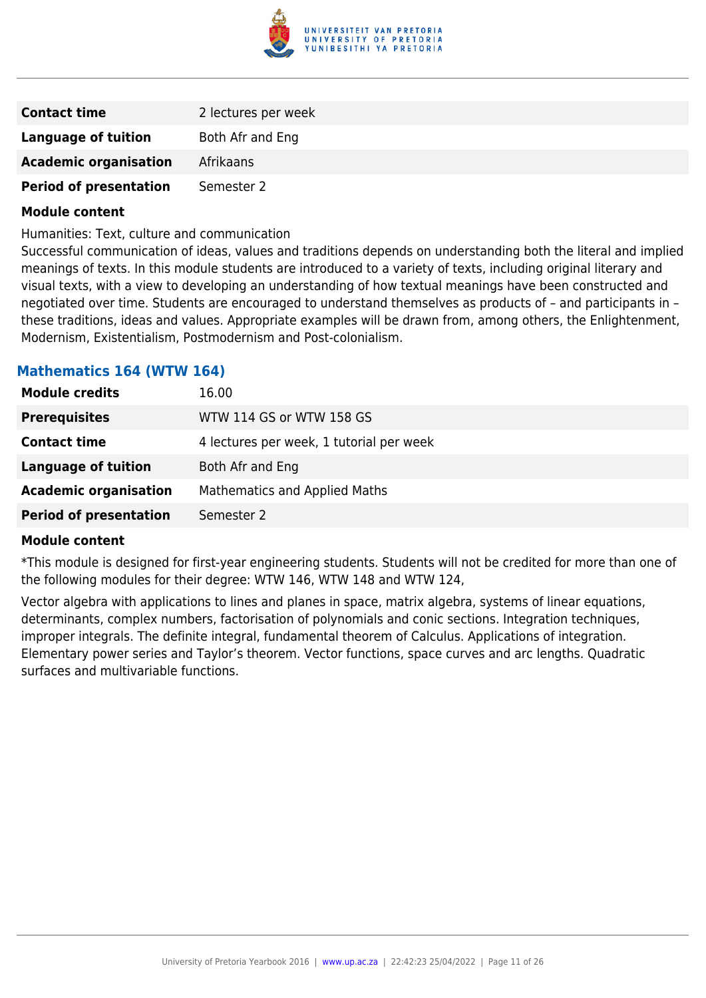

| <b>Contact time</b>           | 2 lectures per week |
|-------------------------------|---------------------|
| Language of tuition           | Both Afr and Eng    |
| <b>Academic organisation</b>  | Afrikaans           |
| <b>Period of presentation</b> | Semester 2          |

Humanities: Text, culture and communication

Successful communication of ideas, values and traditions depends on understanding both the literal and implied meanings of texts. In this module students are introduced to a variety of texts, including original literary and visual texts, with a view to developing an understanding of how textual meanings have been constructed and negotiated over time. Students are encouraged to understand themselves as products of – and participants in – these traditions, ideas and values. Appropriate examples will be drawn from, among others, the Enlightenment, Modernism, Existentialism, Postmodernism and Post-colonialism.

## **Mathematics 164 (WTW 164)**

| <b>Module credits</b>         | 16.00                                    |  |  |
|-------------------------------|------------------------------------------|--|--|
| <b>Prerequisites</b>          | WTW 114 GS or WTW 158 GS                 |  |  |
| <b>Contact time</b>           | 4 lectures per week, 1 tutorial per week |  |  |
| <b>Language of tuition</b>    | Both Afr and Eng                         |  |  |
| <b>Academic organisation</b>  | <b>Mathematics and Applied Maths</b>     |  |  |
| <b>Period of presentation</b> | Semester 2                               |  |  |

#### **Module content**

\*This module is designed for first-year engineering students. Students will not be credited for more than one of the following modules for their degree: WTW 146, WTW 148 and WTW 124,

Vector algebra with applications to lines and planes in space, matrix algebra, systems of linear equations, determinants, complex numbers, factorisation of polynomials and conic sections. Integration techniques, improper integrals. The definite integral, fundamental theorem of Calculus. Applications of integration. Elementary power series and Taylor's theorem. Vector functions, space curves and arc lengths. Quadratic surfaces and multivariable functions.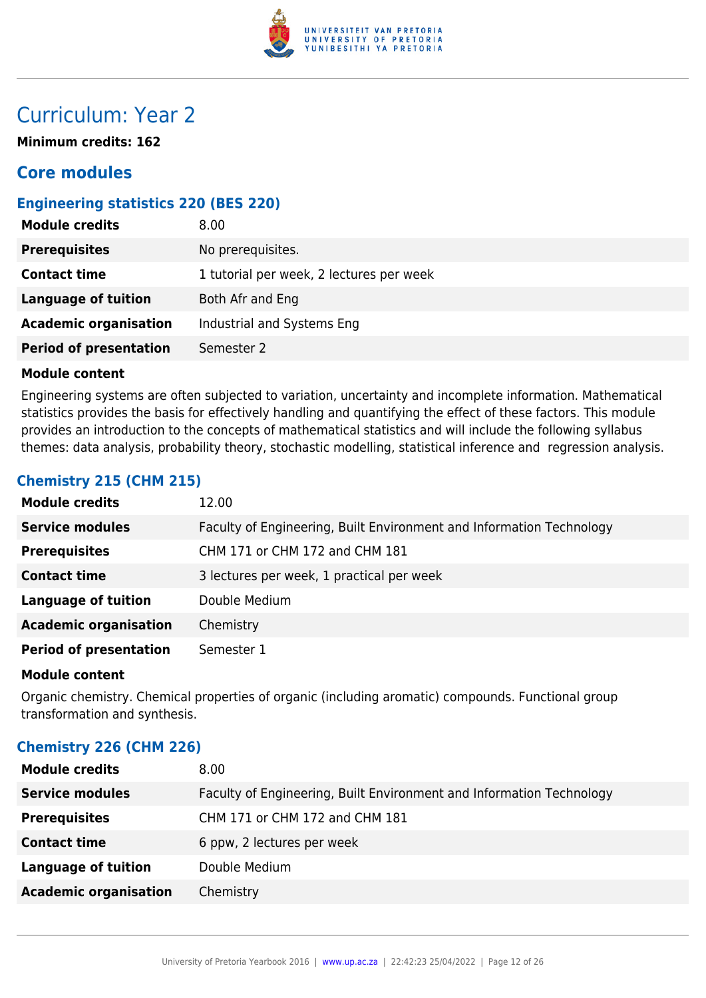

## Curriculum: Year 2

**Minimum credits: 162**

## **Core modules**

## **Engineering statistics 220 (BES 220)**

| <b>Module credits</b>         | 8.00                                     |  |  |
|-------------------------------|------------------------------------------|--|--|
| <b>Prerequisites</b>          | No prerequisites.                        |  |  |
| <b>Contact time</b>           | 1 tutorial per week, 2 lectures per week |  |  |
| Language of tuition           | Both Afr and Eng                         |  |  |
| <b>Academic organisation</b>  | Industrial and Systems Eng               |  |  |
| <b>Period of presentation</b> | Semester 2                               |  |  |

## **Module content**

Engineering systems are often subjected to variation, uncertainty and incomplete information. Mathematical statistics provides the basis for effectively handling and quantifying the effect of these factors. This module provides an introduction to the concepts of mathematical statistics and will include the following syllabus themes: data analysis, probability theory, stochastic modelling, statistical inference and regression analysis.

## **Chemistry 215 (CHM 215)**

| <b>Module credits</b>         | 12.00                                                                |  |  |
|-------------------------------|----------------------------------------------------------------------|--|--|
| <b>Service modules</b>        | Faculty of Engineering, Built Environment and Information Technology |  |  |
| <b>Prerequisites</b>          | CHM 171 or CHM 172 and CHM 181                                       |  |  |
| <b>Contact time</b>           | 3 lectures per week, 1 practical per week                            |  |  |
| <b>Language of tuition</b>    | Double Medium                                                        |  |  |
| <b>Academic organisation</b>  | Chemistry                                                            |  |  |
| <b>Period of presentation</b> | Semester 1                                                           |  |  |

#### **Module content**

Organic chemistry. Chemical properties of organic (including aromatic) compounds. Functional group transformation and synthesis.

## **Chemistry 226 (CHM 226)**

| 8.00                                                                 |  |  |
|----------------------------------------------------------------------|--|--|
| Faculty of Engineering, Built Environment and Information Technology |  |  |
| CHM 171 or CHM 172 and CHM 181                                       |  |  |
| 6 ppw, 2 lectures per week                                           |  |  |
| Double Medium                                                        |  |  |
| Chemistry                                                            |  |  |
|                                                                      |  |  |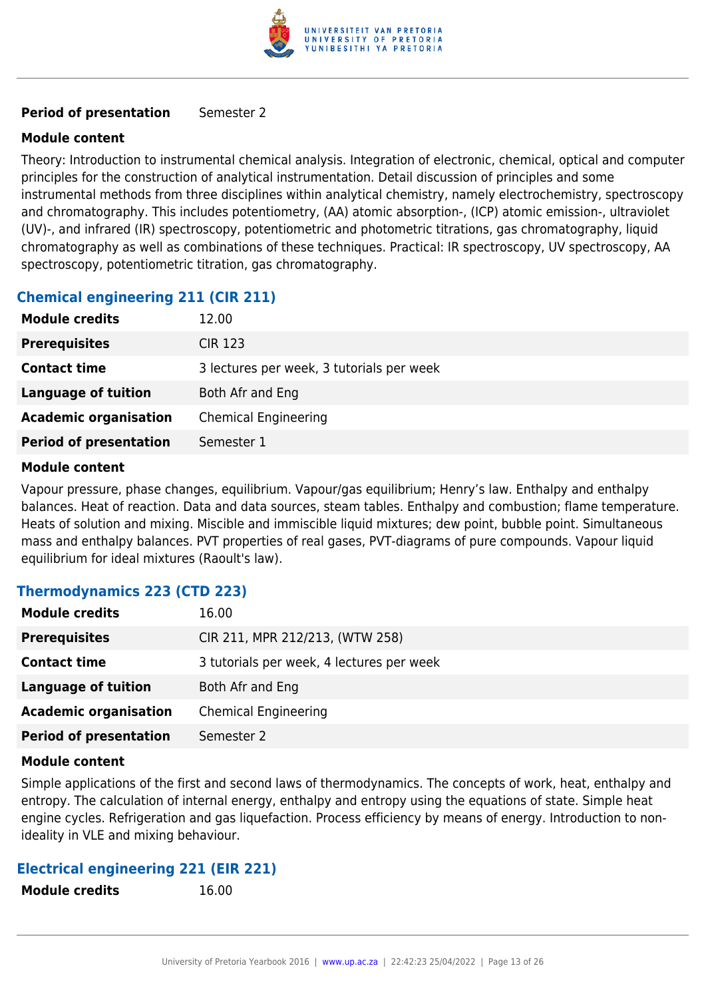

## **Period of presentation** Semester 2

## **Module content**

Theory: Introduction to instrumental chemical analysis. Integration of electronic, chemical, optical and computer principles for the construction of analytical instrumentation. Detail discussion of principles and some instrumental methods from three disciplines within analytical chemistry, namely electrochemistry, spectroscopy and chromatography. This includes potentiometry, (AA) atomic absorption-, (ICP) atomic emission-, ultraviolet (UV)-, and infrared (IR) spectroscopy, potentiometric and photometric titrations, gas chromatography, liquid chromatography as well as combinations of these techniques. Practical: IR spectroscopy, UV spectroscopy, AA spectroscopy, potentiometric titration, gas chromatography.

## **Chemical engineering 211 (CIR 211)**

| <b>Module credits</b>         | 12.00                                     |  |  |
|-------------------------------|-------------------------------------------|--|--|
| <b>Prerequisites</b>          | <b>CIR 123</b>                            |  |  |
| <b>Contact time</b>           | 3 lectures per week, 3 tutorials per week |  |  |
| <b>Language of tuition</b>    | Both Afr and Eng                          |  |  |
| <b>Academic organisation</b>  | <b>Chemical Engineering</b>               |  |  |
| <b>Period of presentation</b> | Semester 1                                |  |  |

## **Module content**

Vapour pressure, phase changes, equilibrium. Vapour/gas equilibrium; Henry's law. Enthalpy and enthalpy balances. Heat of reaction. Data and data sources, steam tables. Enthalpy and combustion; flame temperature. Heats of solution and mixing. Miscible and immiscible liquid mixtures; dew point, bubble point. Simultaneous mass and enthalpy balances. PVT properties of real gases, PVT-diagrams of pure compounds. Vapour liquid equilibrium for ideal mixtures (Raoult's law).

## **Thermodynamics 223 (CTD 223)**

| <b>Module credits</b>         | 16.00                                     |  |  |
|-------------------------------|-------------------------------------------|--|--|
| <b>Prerequisites</b>          | CIR 211, MPR 212/213, (WTW 258)           |  |  |
| <b>Contact time</b>           | 3 tutorials per week, 4 lectures per week |  |  |
| <b>Language of tuition</b>    | Both Afr and Eng                          |  |  |
| <b>Academic organisation</b>  | <b>Chemical Engineering</b>               |  |  |
| <b>Period of presentation</b> | Semester 2                                |  |  |

#### **Module content**

Simple applications of the first and second laws of thermodynamics. The concepts of work, heat, enthalpy and entropy. The calculation of internal energy, enthalpy and entropy using the equations of state. Simple heat engine cycles. Refrigeration and gas liquefaction. Process efficiency by means of energy. Introduction to nonideality in VLE and mixing behaviour.

## **Electrical engineering 221 (EIR 221)**

| <b>Module credits</b> | 16.00 |
|-----------------------|-------|
|                       |       |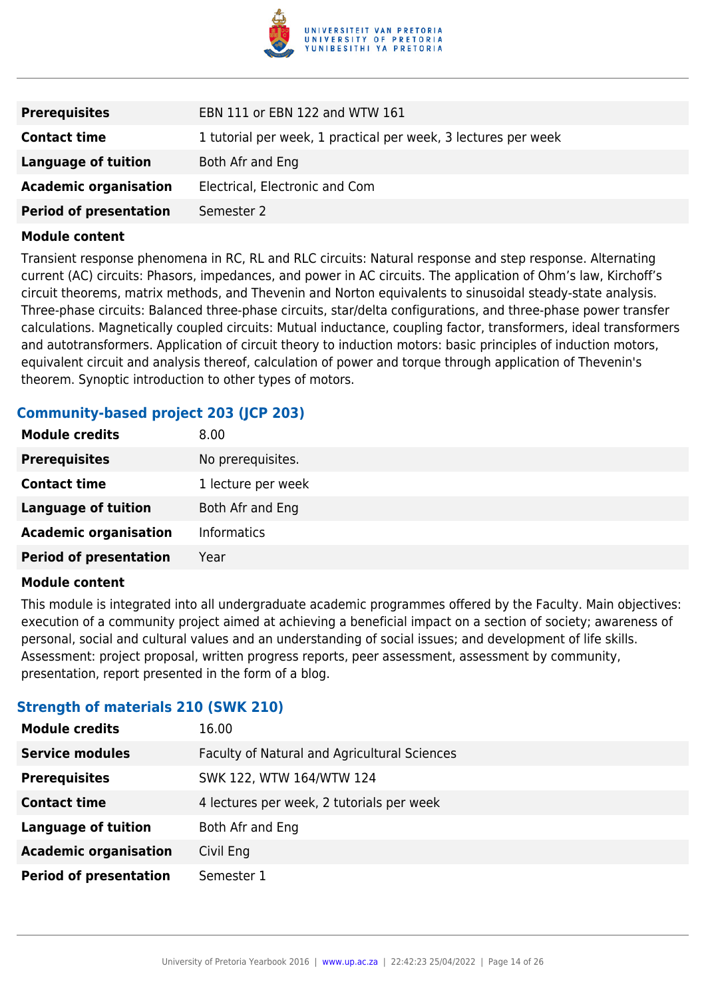

| <b>Prerequisites</b>          | EBN 111 or EBN 122 and WTW 161                                 |
|-------------------------------|----------------------------------------------------------------|
| <b>Contact time</b>           | 1 tutorial per week, 1 practical per week, 3 lectures per week |
| Language of tuition           | Both Afr and Eng                                               |
| <b>Academic organisation</b>  | Electrical, Electronic and Com                                 |
| <b>Period of presentation</b> | Semester 2                                                     |

Transient response phenomena in RC, RL and RLC circuits: Natural response and step response. Alternating current (AC) circuits: Phasors, impedances, and power in AC circuits. The application of Ohm's law, Kirchoff's circuit theorems, matrix methods, and Thevenin and Norton equivalents to sinusoidal steady-state analysis. Three-phase circuits: Balanced three-phase circuits, star/delta configurations, and three-phase power transfer calculations. Magnetically coupled circuits: Mutual inductance, coupling factor, transformers, ideal transformers and autotransformers. Application of circuit theory to induction motors: basic principles of induction motors, equivalent circuit and analysis thereof, calculation of power and torque through application of Thevenin's theorem. Synoptic introduction to other types of motors.

## **Community-based project 203 (JCP 203)**

| <b>Module credits</b>         | 8.00               |
|-------------------------------|--------------------|
| <b>Prerequisites</b>          | No prerequisites.  |
| <b>Contact time</b>           | 1 lecture per week |
| <b>Language of tuition</b>    | Both Afr and Eng   |
| <b>Academic organisation</b>  | <b>Informatics</b> |
| <b>Period of presentation</b> | Year               |

#### **Module content**

This module is integrated into all undergraduate academic programmes offered by the Faculty. Main objectives: execution of a community project aimed at achieving a beneficial impact on a section of society; awareness of personal, social and cultural values and an understanding of social issues; and development of life skills. Assessment: project proposal, written progress reports, peer assessment, assessment by community, presentation, report presented in the form of a blog.

## **Strength of materials 210 (SWK 210)**

| <b>Module credits</b>         | 16.00                                        |
|-------------------------------|----------------------------------------------|
| <b>Service modules</b>        | Faculty of Natural and Agricultural Sciences |
| <b>Prerequisites</b>          | SWK 122, WTW 164/WTW 124                     |
| <b>Contact time</b>           | 4 lectures per week, 2 tutorials per week    |
| <b>Language of tuition</b>    | Both Afr and Eng                             |
| <b>Academic organisation</b>  | Civil Eng                                    |
| <b>Period of presentation</b> | Semester 1                                   |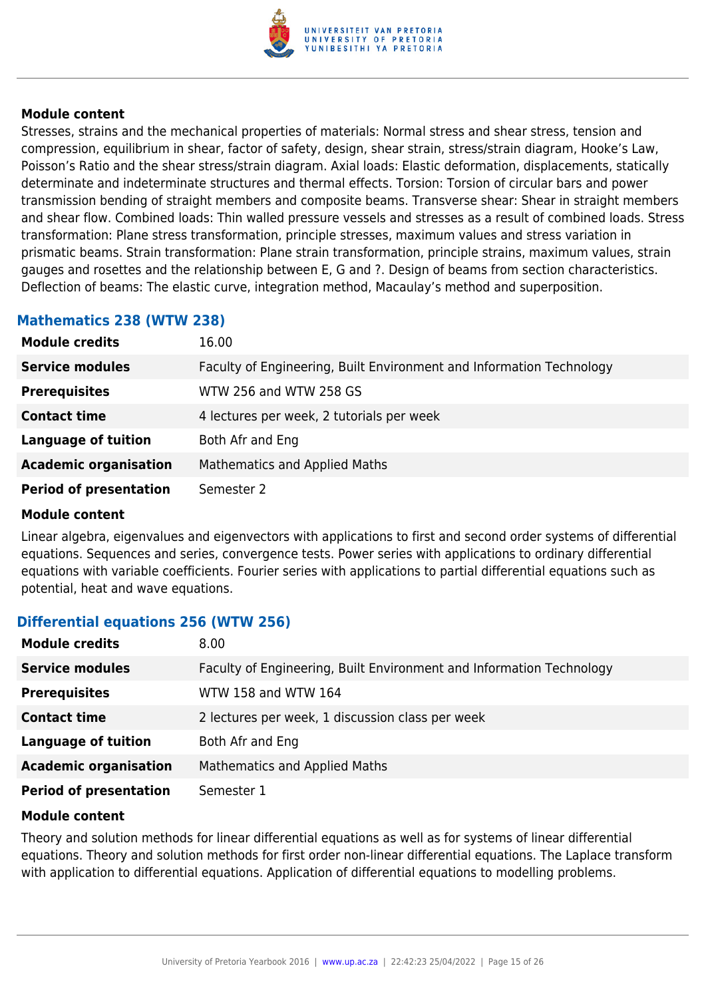

Stresses, strains and the mechanical properties of materials: Normal stress and shear stress, tension and compression, equilibrium in shear, factor of safety, design, shear strain, stress/strain diagram, Hooke's Law, Poisson's Ratio and the shear stress/strain diagram. Axial loads: Elastic deformation, displacements, statically determinate and indeterminate structures and thermal effects. Torsion: Torsion of circular bars and power transmission bending of straight members and composite beams. Transverse shear: Shear in straight members and shear flow. Combined loads: Thin walled pressure vessels and stresses as a result of combined loads. Stress transformation: Plane stress transformation, principle stresses, maximum values and stress variation in prismatic beams. Strain transformation: Plane strain transformation, principle strains, maximum values, strain gauges and rosettes and the relationship between E, G and ?. Design of beams from section characteristics. Deflection of beams: The elastic curve, integration method, Macaulay's method and superposition.

## **Mathematics 238 (WTW 238)**

| <b>Module credits</b>         | 16.00                                                                |
|-------------------------------|----------------------------------------------------------------------|
| <b>Service modules</b>        | Faculty of Engineering, Built Environment and Information Technology |
| <b>Prerequisites</b>          | WTW 256 and WTW 258 GS                                               |
| <b>Contact time</b>           | 4 lectures per week, 2 tutorials per week                            |
| <b>Language of tuition</b>    | Both Afr and Eng                                                     |
| <b>Academic organisation</b>  | Mathematics and Applied Maths                                        |
| <b>Period of presentation</b> | Semester 2                                                           |

#### **Module content**

Linear algebra, eigenvalues and eigenvectors with applications to first and second order systems of differential equations. Sequences and series, convergence tests. Power series with applications to ordinary differential equations with variable coefficients. Fourier series with applications to partial differential equations such as potential, heat and wave equations.

## **Differential equations 256 (WTW 256)**

| <b>Module credits</b>         | 8.00                                                                 |
|-------------------------------|----------------------------------------------------------------------|
| <b>Service modules</b>        | Faculty of Engineering, Built Environment and Information Technology |
| <b>Prerequisites</b>          | WTW 158 and WTW 164                                                  |
| <b>Contact time</b>           | 2 lectures per week, 1 discussion class per week                     |
| <b>Language of tuition</b>    | Both Afr and Eng                                                     |
| <b>Academic organisation</b>  | Mathematics and Applied Maths                                        |
| <b>Period of presentation</b> | Semester 1                                                           |

#### **Module content**

Theory and solution methods for linear differential equations as well as for systems of linear differential equations. Theory and solution methods for first order non-linear differential equations. The Laplace transform with application to differential equations. Application of differential equations to modelling problems.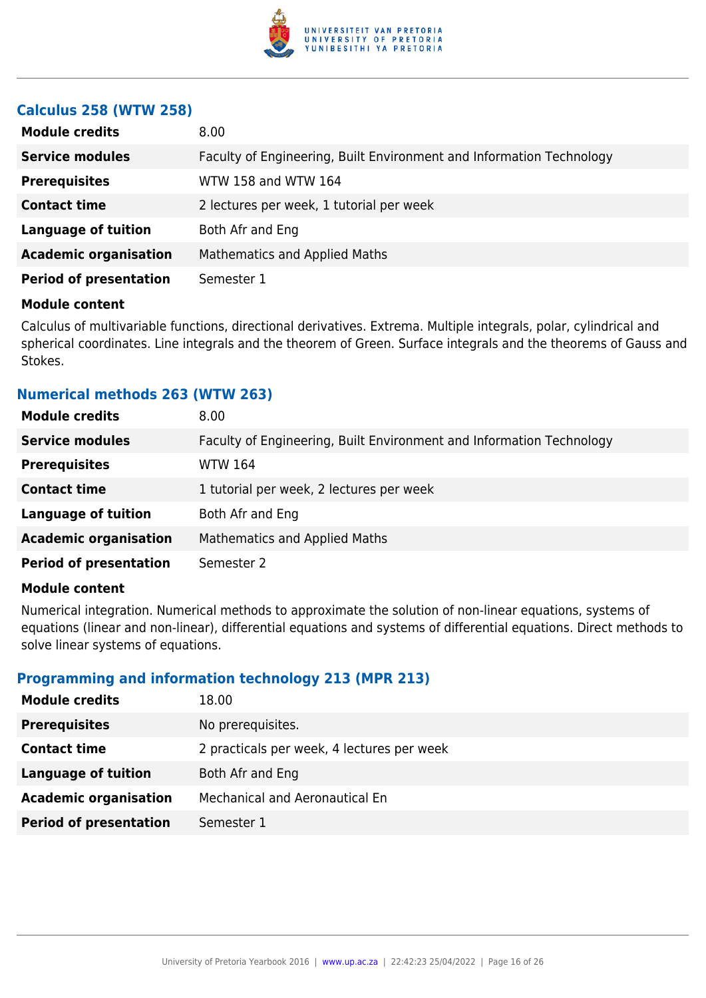

## **Calculus 258 (WTW 258)**

| <b>Module credits</b>         | 8.00                                                                 |
|-------------------------------|----------------------------------------------------------------------|
| <b>Service modules</b>        | Faculty of Engineering, Built Environment and Information Technology |
| <b>Prerequisites</b>          | WTW 158 and WTW 164                                                  |
| <b>Contact time</b>           | 2 lectures per week, 1 tutorial per week                             |
| <b>Language of tuition</b>    | Both Afr and Eng                                                     |
| <b>Academic organisation</b>  | <b>Mathematics and Applied Maths</b>                                 |
| <b>Period of presentation</b> | Semester 1                                                           |

#### **Module content**

Calculus of multivariable functions, directional derivatives. Extrema. Multiple integrals, polar, cylindrical and spherical coordinates. Line integrals and the theorem of Green. Surface integrals and the theorems of Gauss and Stokes.

## **Numerical methods 263 (WTW 263)**

| <b>Module credits</b>         | 8.00                                                                 |
|-------------------------------|----------------------------------------------------------------------|
| <b>Service modules</b>        | Faculty of Engineering, Built Environment and Information Technology |
| <b>Prerequisites</b>          | WTW 164                                                              |
| <b>Contact time</b>           | 1 tutorial per week, 2 lectures per week                             |
| <b>Language of tuition</b>    | Both Afr and Eng                                                     |
| <b>Academic organisation</b>  | <b>Mathematics and Applied Maths</b>                                 |
| <b>Period of presentation</b> | Semester 2                                                           |

#### **Module content**

Numerical integration. Numerical methods to approximate the solution of non-linear equations, systems of equations (linear and non-linear), differential equations and systems of differential equations. Direct methods to solve linear systems of equations.

## **Programming and information technology 213 (MPR 213)**

| <b>Module credits</b>         | 18.00                                      |
|-------------------------------|--------------------------------------------|
| <b>Prerequisites</b>          | No prerequisites.                          |
| <b>Contact time</b>           | 2 practicals per week, 4 lectures per week |
| <b>Language of tuition</b>    | Both Afr and Eng                           |
| <b>Academic organisation</b>  | Mechanical and Aeronautical En             |
| <b>Period of presentation</b> | Semester 1                                 |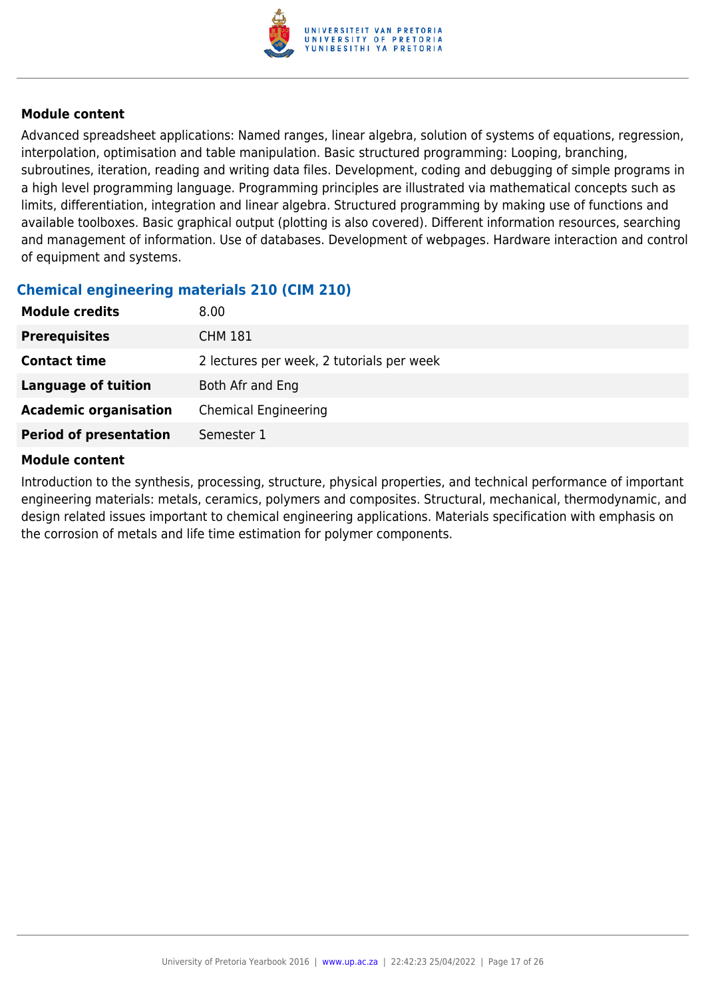

Advanced spreadsheet applications: Named ranges, linear algebra, solution of systems of equations, regression, interpolation, optimisation and table manipulation. Basic structured programming: Looping, branching, subroutines, iteration, reading and writing data files. Development, coding and debugging of simple programs in a high level programming language. Programming principles are illustrated via mathematical concepts such as limits, differentiation, integration and linear algebra. Structured programming by making use of functions and available toolboxes. Basic graphical output (plotting is also covered). Different information resources, searching and management of information. Use of databases. Development of webpages. Hardware interaction and control of equipment and systems.

## **Chemical engineering materials 210 (CIM 210)**

| <b>Module credits</b>         | 8.00                                      |
|-------------------------------|-------------------------------------------|
| <b>Prerequisites</b>          | <b>CHM 181</b>                            |
| <b>Contact time</b>           | 2 lectures per week, 2 tutorials per week |
| <b>Language of tuition</b>    | Both Afr and Eng                          |
| <b>Academic organisation</b>  | <b>Chemical Engineering</b>               |
| <b>Period of presentation</b> | Semester 1                                |

## **Module content**

Introduction to the synthesis, processing, structure, physical properties, and technical performance of important engineering materials: metals, ceramics, polymers and composites. Structural, mechanical, thermodynamic, and design related issues important to chemical engineering applications. Materials specification with emphasis on the corrosion of metals and life time estimation for polymer components.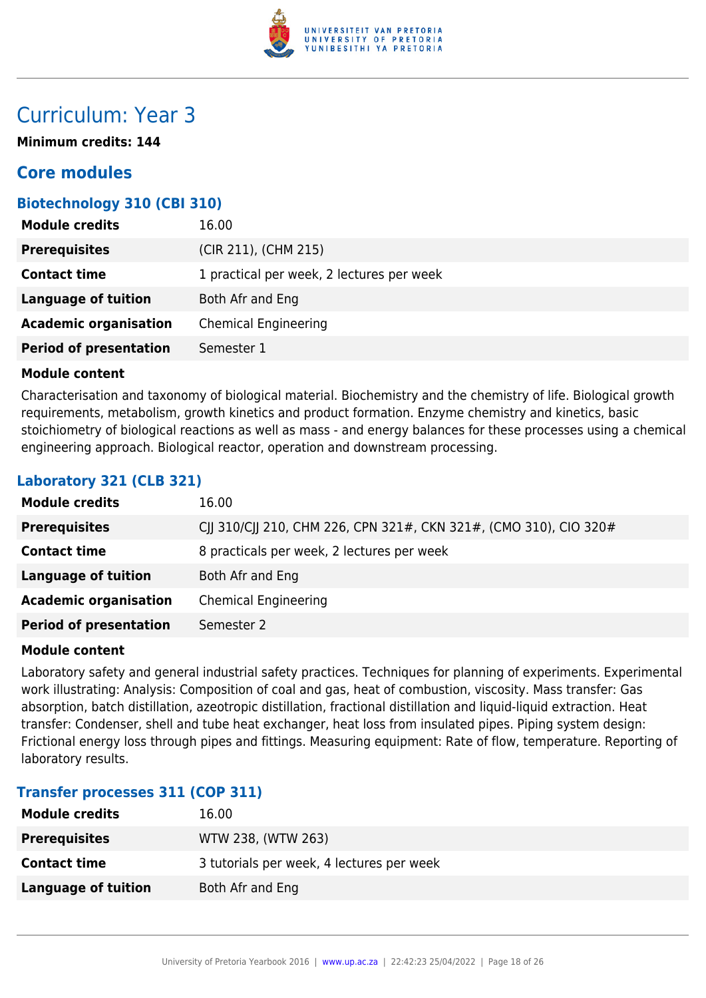

## Curriculum: Year 3

**Minimum credits: 144**

## **Core modules**

## **Biotechnology 310 (CBI 310)**

| <b>Module credits</b>         | 16.00                                     |
|-------------------------------|-------------------------------------------|
| <b>Prerequisites</b>          | (CIR 211), (CHM 215)                      |
| <b>Contact time</b>           | 1 practical per week, 2 lectures per week |
| <b>Language of tuition</b>    | Both Afr and Eng                          |
| <b>Academic organisation</b>  | <b>Chemical Engineering</b>               |
| <b>Period of presentation</b> | Semester 1                                |

## **Module content**

Characterisation and taxonomy of biological material. Biochemistry and the chemistry of life. Biological growth requirements, metabolism, growth kinetics and product formation. Enzyme chemistry and kinetics, basic stoichiometry of biological reactions as well as mass - and energy balances for these processes using a chemical engineering approach. Biological reactor, operation and downstream processing.

## **Laboratory 321 (CLB 321)**

| <b>Module credits</b>         | 16.00                                                             |
|-------------------------------|-------------------------------------------------------------------|
| <b>Prerequisites</b>          | CJJ 310/CJJ 210, CHM 226, CPN 321#, CKN 321#, (CMO 310), CIO 320# |
| <b>Contact time</b>           | 8 practicals per week, 2 lectures per week                        |
| <b>Language of tuition</b>    | Both Afr and Eng                                                  |
| <b>Academic organisation</b>  | <b>Chemical Engineering</b>                                       |
| <b>Period of presentation</b> | Semester 2                                                        |

#### **Module content**

Laboratory safety and general industrial safety practices. Techniques for planning of experiments. Experimental work illustrating: Analysis: Composition of coal and gas, heat of combustion, viscosity. Mass transfer: Gas absorption, batch distillation, azeotropic distillation, fractional distillation and liquid-liquid extraction. Heat transfer: Condenser, shell and tube heat exchanger, heat loss from insulated pipes. Piping system design: Frictional energy loss through pipes and fittings. Measuring equipment: Rate of flow, temperature. Reporting of laboratory results.

## **Transfer processes 311 (COP 311)**

| <b>Module credits</b> | 16.00                                     |
|-----------------------|-------------------------------------------|
| <b>Prerequisites</b>  | WTW 238, (WTW 263)                        |
| <b>Contact time</b>   | 3 tutorials per week, 4 lectures per week |
| Language of tuition   | Both Afr and Eng                          |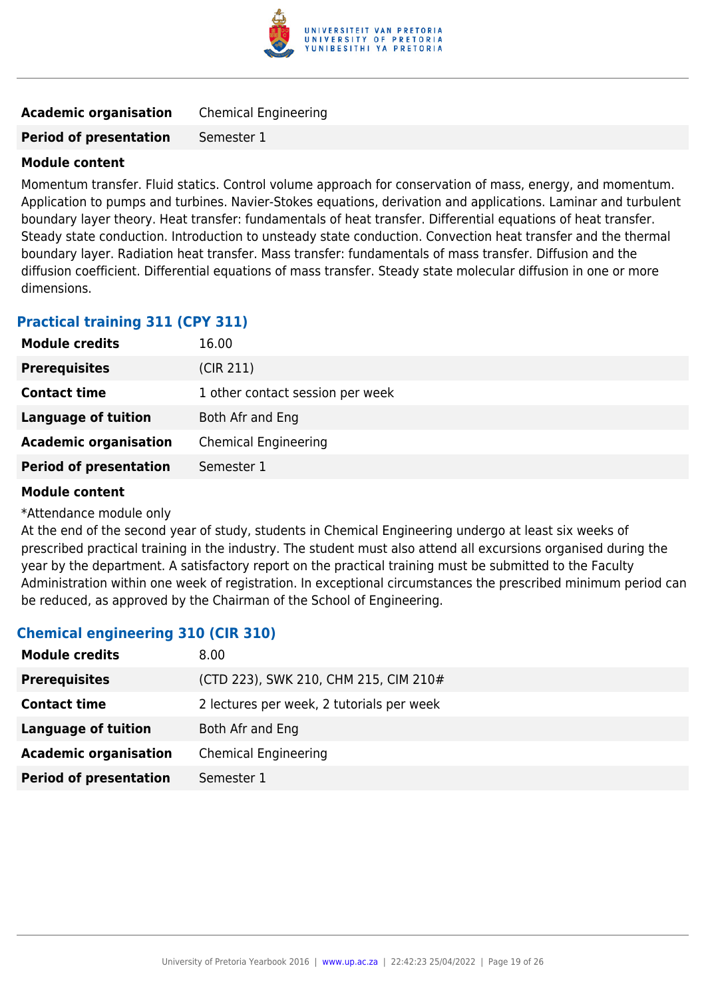

| <b>Academic organisation</b><br><b>Chemical Engineering</b> |  |
|-------------------------------------------------------------|--|
|-------------------------------------------------------------|--|

**Period of presentation** Semester 1

## **Module content**

Momentum transfer. Fluid statics. Control volume approach for conservation of mass, energy, and momentum. Application to pumps and turbines. Navier-Stokes equations, derivation and applications. Laminar and turbulent boundary layer theory. Heat transfer: fundamentals of heat transfer. Differential equations of heat transfer. Steady state conduction. Introduction to unsteady state conduction. Convection heat transfer and the thermal boundary layer. Radiation heat transfer. Mass transfer: fundamentals of mass transfer. Diffusion and the diffusion coefficient. Differential equations of mass transfer. Steady state molecular diffusion in one or more dimensions.

## **Practical training 311 (CPY 311)**

| <b>Module credits</b>         | 16.00                            |
|-------------------------------|----------------------------------|
| <b>Prerequisites</b>          | (CIR 211)                        |
| <b>Contact time</b>           | 1 other contact session per week |
| <b>Language of tuition</b>    | Both Afr and Eng                 |
| <b>Academic organisation</b>  | <b>Chemical Engineering</b>      |
| <b>Period of presentation</b> | Semester 1                       |

## **Module content**

\*Attendance module only

At the end of the second year of study, students in Chemical Engineering undergo at least six weeks of prescribed practical training in the industry. The student must also attend all excursions organised during the year by the department. A satisfactory report on the practical training must be submitted to the Faculty Administration within one week of registration. In exceptional circumstances the prescribed minimum period can be reduced, as approved by the Chairman of the School of Engineering.

## **Chemical engineering 310 (CIR 310)**

| <b>Module credits</b>         | 8.00                                      |
|-------------------------------|-------------------------------------------|
| <b>Prerequisites</b>          | (CTD 223), SWK 210, CHM 215, CIM 210#     |
| <b>Contact time</b>           | 2 lectures per week, 2 tutorials per week |
| <b>Language of tuition</b>    | Both Afr and Eng                          |
| <b>Academic organisation</b>  | <b>Chemical Engineering</b>               |
| <b>Period of presentation</b> | Semester 1                                |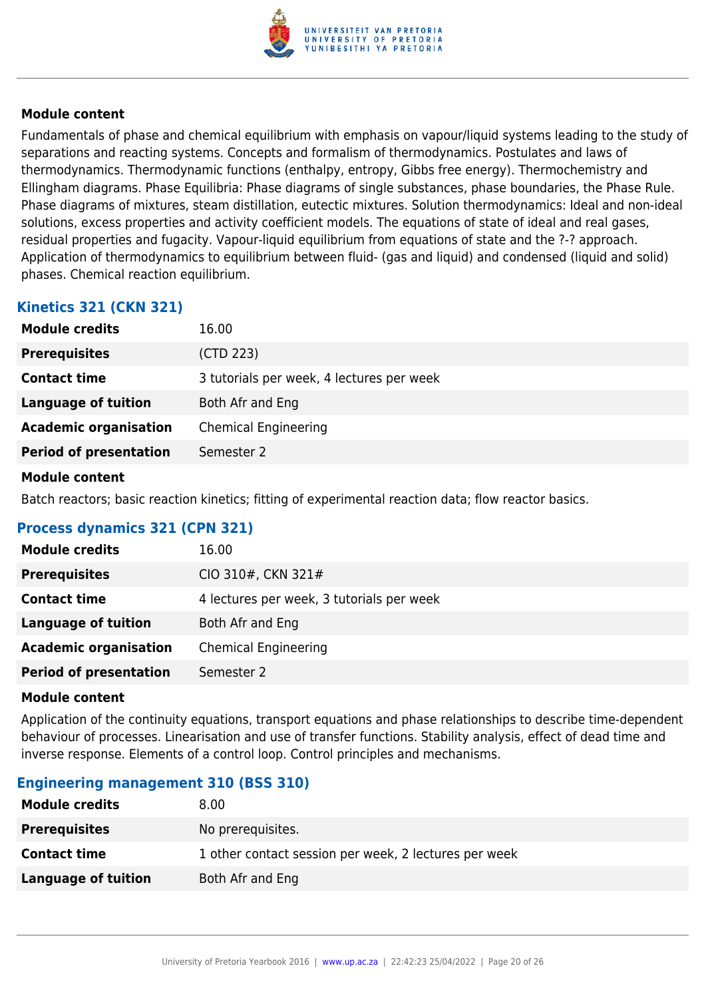

Fundamentals of phase and chemical equilibrium with emphasis on vapour/liquid systems leading to the study of separations and reacting systems. Concepts and formalism of thermodynamics. Postulates and laws of thermodynamics. Thermodynamic functions (enthalpy, entropy, Gibbs free energy). Thermochemistry and Ellingham diagrams. Phase Equilibria: Phase diagrams of single substances, phase boundaries, the Phase Rule. Phase diagrams of mixtures, steam distillation, eutectic mixtures. Solution thermodynamics: Ideal and non-ideal solutions, excess properties and activity coefficient models. The equations of state of ideal and real gases, residual properties and fugacity. Vapour-liquid equilibrium from equations of state and the ?-? approach. Application of thermodynamics to equilibrium between fluid- (gas and liquid) and condensed (liquid and solid) phases. Chemical reaction equilibrium.

## **Kinetics 321 (CKN 321)**

| <b>Module credits</b>         | 16.00                                     |
|-------------------------------|-------------------------------------------|
| <b>Prerequisites</b>          | (CTD 223)                                 |
| <b>Contact time</b>           | 3 tutorials per week, 4 lectures per week |
| Language of tuition           | Both Afr and Eng                          |
| <b>Academic organisation</b>  | <b>Chemical Engineering</b>               |
| <b>Period of presentation</b> | Semester 2                                |
|                               |                                           |

#### **Module content**

Batch reactors; basic reaction kinetics; fitting of experimental reaction data; flow reactor basics.

## **Process dynamics 321 (CPN 321)**

| <b>Module credits</b>         | 16.00                                     |
|-------------------------------|-------------------------------------------|
| <b>Prerequisites</b>          | CIO 310#, CKN 321#                        |
| <b>Contact time</b>           | 4 lectures per week, 3 tutorials per week |
| <b>Language of tuition</b>    | Both Afr and Eng                          |
| <b>Academic organisation</b>  | <b>Chemical Engineering</b>               |
| <b>Period of presentation</b> | Semester 2                                |

#### **Module content**

Application of the continuity equations, transport equations and phase relationships to describe time-dependent behaviour of processes. Linearisation and use of transfer functions. Stability analysis, effect of dead time and inverse response. Elements of a control loop. Control principles and mechanisms.

## **Engineering management 310 (BSS 310)**

| <b>Module credits</b> | 8.00                                                  |
|-----------------------|-------------------------------------------------------|
| <b>Prerequisites</b>  | No prerequisites.                                     |
| <b>Contact time</b>   | 1 other contact session per week, 2 lectures per week |
| Language of tuition   | Both Afr and Eng                                      |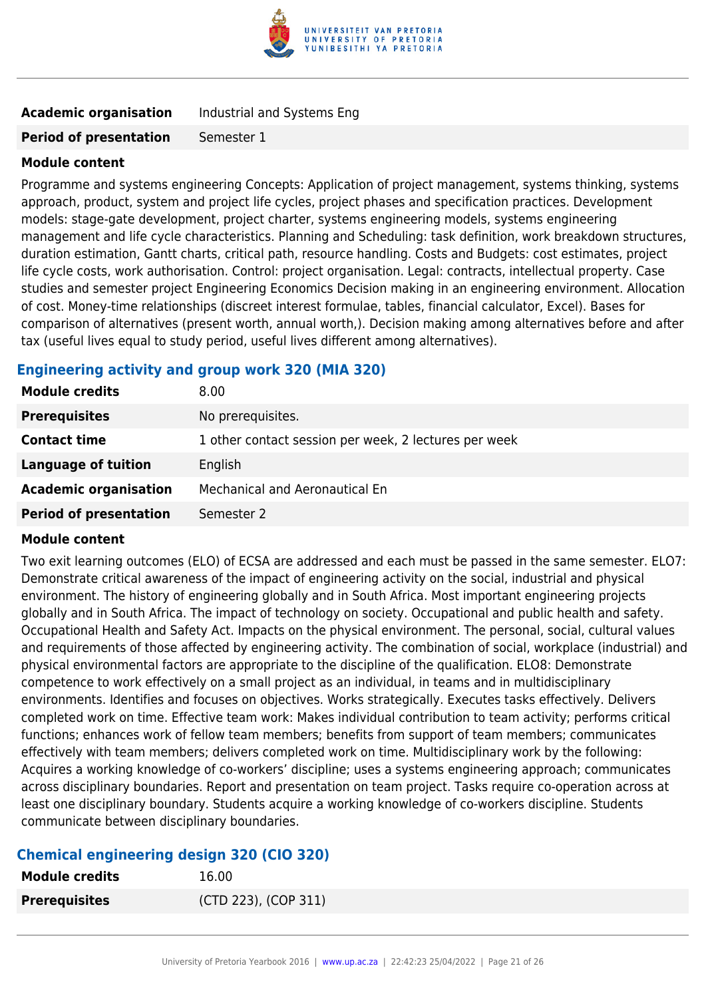

## **Academic organisation** Industrial and Systems Eng

#### **Period of presentation** Semester 1

#### **Module content**

Programme and systems engineering Concepts: Application of project management, systems thinking, systems approach, product, system and project life cycles, project phases and specification practices. Development models: stage-gate development, project charter, systems engineering models, systems engineering management and life cycle characteristics. Planning and Scheduling: task definition, work breakdown structures, duration estimation, Gantt charts, critical path, resource handling. Costs and Budgets: cost estimates, project life cycle costs, work authorisation. Control: project organisation. Legal: contracts, intellectual property. Case studies and semester project Engineering Economics Decision making in an engineering environment. Allocation of cost. Money-time relationships (discreet interest formulae, tables, financial calculator, Excel). Bases for comparison of alternatives (present worth, annual worth,). Decision making among alternatives before and after tax (useful lives equal to study period, useful lives different among alternatives).

## **Engineering activity and group work 320 (MIA 320)**

| <b>Module credits</b>         | 8.00                                                  |
|-------------------------------|-------------------------------------------------------|
| <b>Prerequisites</b>          | No prerequisites.                                     |
| <b>Contact time</b>           | 1 other contact session per week, 2 lectures per week |
| <b>Language of tuition</b>    | English                                               |
| <b>Academic organisation</b>  | Mechanical and Aeronautical En                        |
| <b>Period of presentation</b> | Semester 2                                            |

#### **Module content**

Two exit learning outcomes (ELO) of ECSA are addressed and each must be passed in the same semester. ELO7: Demonstrate critical awareness of the impact of engineering activity on the social, industrial and physical environment. The history of engineering globally and in South Africa. Most important engineering projects globally and in South Africa. The impact of technology on society. Occupational and public health and safety. Occupational Health and Safety Act. Impacts on the physical environment. The personal, social, cultural values and requirements of those affected by engineering activity. The combination of social, workplace (industrial) and physical environmental factors are appropriate to the discipline of the qualification. ELO8: Demonstrate competence to work effectively on a small project as an individual, in teams and in multidisciplinary environments. Identifies and focuses on objectives. Works strategically. Executes tasks effectively. Delivers completed work on time. Effective team work: Makes individual contribution to team activity; performs critical functions; enhances work of fellow team members; benefits from support of team members; communicates effectively with team members; delivers completed work on time. Multidisciplinary work by the following: Acquires a working knowledge of co-workers' discipline; uses a systems engineering approach; communicates across disciplinary boundaries. Report and presentation on team project. Tasks require co-operation across at least one disciplinary boundary. Students acquire a working knowledge of co-workers discipline. Students communicate between disciplinary boundaries.

## **Chemical engineering design 320 (CIO 320)**

| Module credits       | 16.00                |
|----------------------|----------------------|
| <b>Prerequisites</b> | (CTD 223), (COP 311) |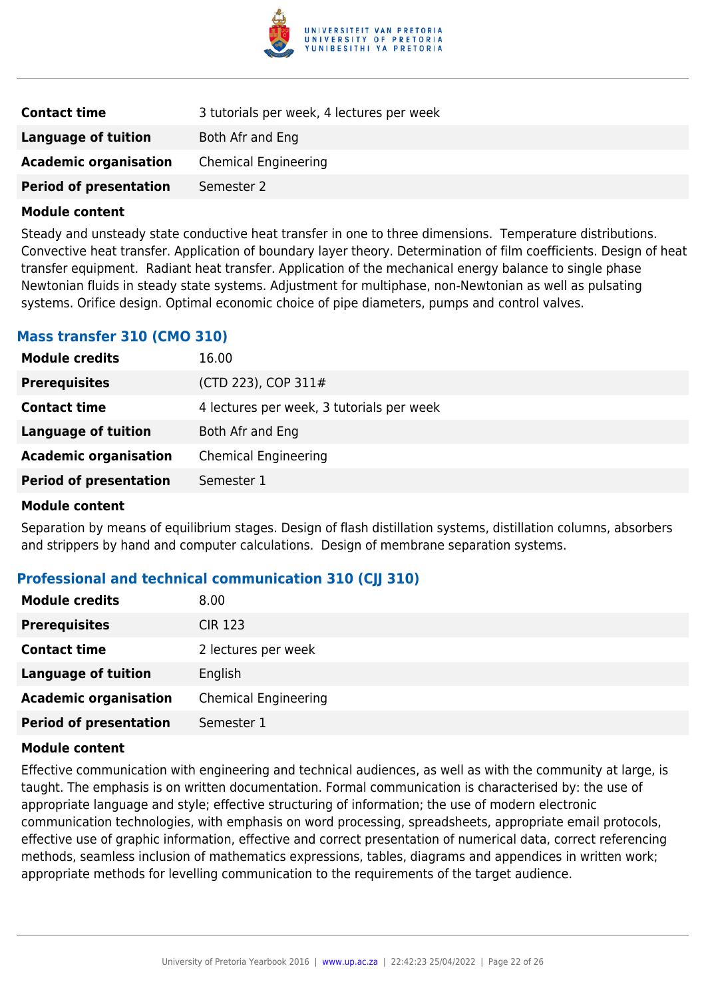

| <b>Contact time</b>           | 3 tutorials per week, 4 lectures per week |
|-------------------------------|-------------------------------------------|
| Language of tuition           | Both Afr and Eng                          |
| <b>Academic organisation</b>  | <b>Chemical Engineering</b>               |
| <b>Period of presentation</b> | Semester 2                                |

Steady and unsteady state conductive heat transfer in one to three dimensions. Temperature distributions. Convective heat transfer. Application of boundary layer theory. Determination of film coefficients. Design of heat transfer equipment. Radiant heat transfer. Application of the mechanical energy balance to single phase Newtonian fluids in steady state systems. Adjustment for multiphase, non-Newtonian as well as pulsating systems. Orifice design. Optimal economic choice of pipe diameters, pumps and control valves.

## **Mass transfer 310 (CMO 310)**

| <b>Module credits</b>         | 16.00                                     |
|-------------------------------|-------------------------------------------|
| <b>Prerequisites</b>          | (CTD 223), COP 311#                       |
| <b>Contact time</b>           | 4 lectures per week, 3 tutorials per week |
| <b>Language of tuition</b>    | Both Afr and Eng                          |
| <b>Academic organisation</b>  | <b>Chemical Engineering</b>               |
| <b>Period of presentation</b> | Semester 1                                |
|                               |                                           |

#### **Module content**

Separation by means of equilibrium stages. Design of flash distillation systems, distillation columns, absorbers and strippers by hand and computer calculations. Design of membrane separation systems.

## **Professional and technical communication 310 (CJJ 310)**

| <b>Module credits</b>         | 8.00                        |
|-------------------------------|-----------------------------|
| <b>Prerequisites</b>          | <b>CIR 123</b>              |
| <b>Contact time</b>           | 2 lectures per week         |
| <b>Language of tuition</b>    | English                     |
| <b>Academic organisation</b>  | <b>Chemical Engineering</b> |
| <b>Period of presentation</b> | Semester 1                  |

#### **Module content**

Effective communication with engineering and technical audiences, as well as with the community at large, is taught. The emphasis is on written documentation. Formal communication is characterised by: the use of appropriate language and style; effective structuring of information; the use of modern electronic communication technologies, with emphasis on word processing, spreadsheets, appropriate email protocols, effective use of graphic information, effective and correct presentation of numerical data, correct referencing methods, seamless inclusion of mathematics expressions, tables, diagrams and appendices in written work; appropriate methods for levelling communication to the requirements of the target audience.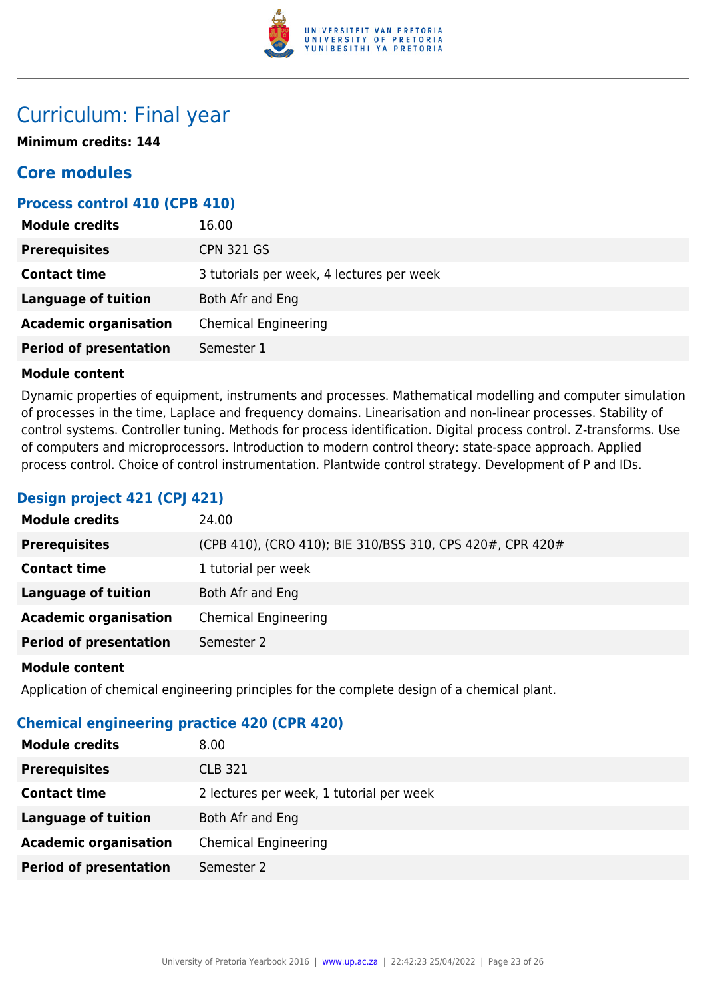

## Curriculum: Final year

**Minimum credits: 144**

## **Core modules**

## **Process control 410 (CPB 410)**

| <b>Module credits</b>         | 16.00                                     |
|-------------------------------|-------------------------------------------|
| <b>Prerequisites</b>          | <b>CPN 321 GS</b>                         |
| <b>Contact time</b>           | 3 tutorials per week, 4 lectures per week |
| Language of tuition           | Both Afr and Eng                          |
| <b>Academic organisation</b>  | <b>Chemical Engineering</b>               |
| <b>Period of presentation</b> | Semester 1                                |

## **Module content**

Dynamic properties of equipment, instruments and processes. Mathematical modelling and computer simulation of processes in the time, Laplace and frequency domains. Linearisation and non-linear processes. Stability of control systems. Controller tuning. Methods for process identification. Digital process control. Z-transforms. Use of computers and microprocessors. Introduction to modern control theory: state-space approach. Applied process control. Choice of control instrumentation. Plantwide control strategy. Development of P and IDs.

## **Design project 421 (CPJ 421)**

| <b>Module credits</b>         | 24.00                                                     |
|-------------------------------|-----------------------------------------------------------|
| <b>Prerequisites</b>          | (CPB 410), (CRO 410); BIE 310/BSS 310, CPS 420#, CPR 420# |
| <b>Contact time</b>           | 1 tutorial per week                                       |
| <b>Language of tuition</b>    | Both Afr and Eng                                          |
| <b>Academic organisation</b>  | <b>Chemical Engineering</b>                               |
| <b>Period of presentation</b> | Semester 2                                                |
|                               |                                                           |

## **Module content**

Application of chemical engineering principles for the complete design of a chemical plant.

## **Chemical engineering practice 420 (CPR 420)**

| <b>Module credits</b>         | 8.00                                     |
|-------------------------------|------------------------------------------|
| <b>Prerequisites</b>          | <b>CLB 321</b>                           |
| <b>Contact time</b>           | 2 lectures per week, 1 tutorial per week |
| Language of tuition           | Both Afr and Eng                         |
| <b>Academic organisation</b>  | <b>Chemical Engineering</b>              |
| <b>Period of presentation</b> | Semester 2                               |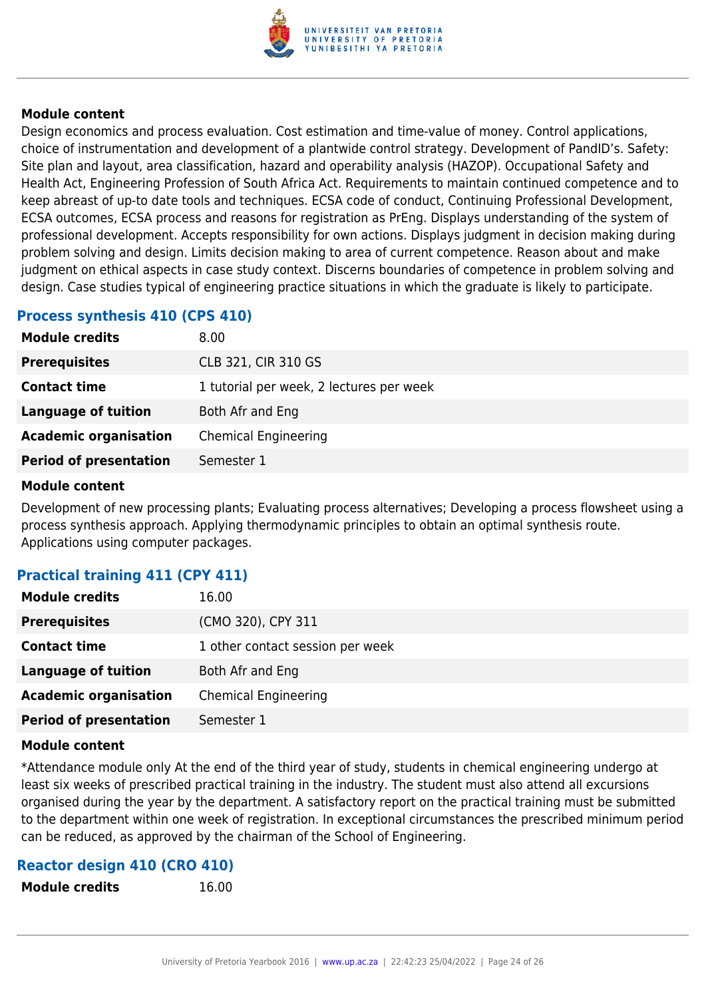

Design economics and process evaluation. Cost estimation and time-value of money. Control applications, choice of instrumentation and development of a plantwide control strategy. Development of PandID's. Safety: Site plan and layout, area classification, hazard and operability analysis (HAZOP). Occupational Safety and Health Act, Engineering Profession of South Africa Act. Requirements to maintain continued competence and to keep abreast of up-to date tools and techniques. ECSA code of conduct, Continuing Professional Development, ECSA outcomes, ECSA process and reasons for registration as PrEng. Displays understanding of the system of professional development. Accepts responsibility for own actions. Displays judgment in decision making during problem solving and design. Limits decision making to area of current competence. Reason about and make judgment on ethical aspects in case study context. Discerns boundaries of competence in problem solving and design. Case studies typical of engineering practice situations in which the graduate is likely to participate.

## **Process synthesis 410 (CPS 410)**

| <b>Module credits</b>         | 8.00                                     |
|-------------------------------|------------------------------------------|
| <b>Prerequisites</b>          | <b>CLB 321, CIR 310 GS</b>               |
| <b>Contact time</b>           | 1 tutorial per week, 2 lectures per week |
| <b>Language of tuition</b>    | Both Afr and Eng                         |
| <b>Academic organisation</b>  | <b>Chemical Engineering</b>              |
| <b>Period of presentation</b> | Semester 1                               |
|                               |                                          |

#### **Module content**

Development of new processing plants; Evaluating process alternatives; Developing a process flowsheet using a process synthesis approach. Applying thermodynamic principles to obtain an optimal synthesis route. Applications using computer packages.

## **Practical training 411 (CPY 411)**

| <b>Module credits</b>         | 16.00                            |
|-------------------------------|----------------------------------|
| <b>Prerequisites</b>          | (CMO 320), CPY 311               |
| <b>Contact time</b>           | 1 other contact session per week |
| <b>Language of tuition</b>    | Both Afr and Eng                 |
| <b>Academic organisation</b>  | <b>Chemical Engineering</b>      |
| <b>Period of presentation</b> | Semester 1                       |

#### **Module content**

\*Attendance module only At the end of the third year of study, students in chemical engineering undergo at least six weeks of prescribed practical training in the industry. The student must also attend all excursions organised during the year by the department. A satisfactory report on the practical training must be submitted to the department within one week of registration. In exceptional circumstances the prescribed minimum period can be reduced, as approved by the chairman of the School of Engineering.

## **Reactor design 410 (CRO 410)**

**Module credits** 16.00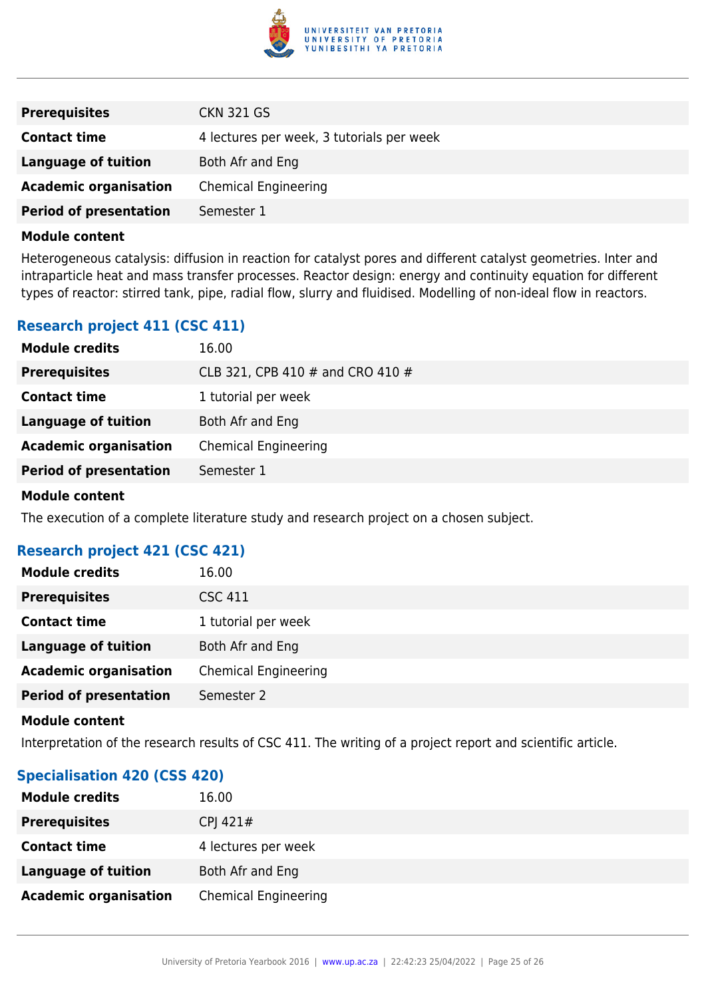

| <b>Prerequisites</b>          | <b>CKN 321 GS</b>                         |
|-------------------------------|-------------------------------------------|
| <b>Contact time</b>           | 4 lectures per week, 3 tutorials per week |
| Language of tuition           | Both Afr and Eng                          |
| <b>Academic organisation</b>  | <b>Chemical Engineering</b>               |
| <b>Period of presentation</b> | Semester 1                                |

Heterogeneous catalysis: diffusion in reaction for catalyst pores and different catalyst geometries. Inter and intraparticle heat and mass transfer processes. Reactor design: energy and continuity equation for different types of reactor: stirred tank, pipe, radial flow, slurry and fluidised. Modelling of non-ideal flow in reactors.

## **Research project 411 (CSC 411)**

| <b>Module credits</b>         | 16.00                            |
|-------------------------------|----------------------------------|
| <b>Prerequisites</b>          | CLB 321, CPB 410 # and CRO 410 # |
| <b>Contact time</b>           | 1 tutorial per week              |
| <b>Language of tuition</b>    | Both Afr and Eng                 |
| <b>Academic organisation</b>  | <b>Chemical Engineering</b>      |
| <b>Period of presentation</b> | Semester 1                       |

#### **Module content**

The execution of a complete literature study and research project on a chosen subject.

## **Research project 421 (CSC 421)**

| <b>Module credits</b>         | 16.00                       |
|-------------------------------|-----------------------------|
| <b>Prerequisites</b>          | <b>CSC 411</b>              |
| <b>Contact time</b>           | 1 tutorial per week         |
| <b>Language of tuition</b>    | Both Afr and Eng            |
| <b>Academic organisation</b>  | <b>Chemical Engineering</b> |
| <b>Period of presentation</b> | Semester 2                  |

#### **Module content**

Interpretation of the research results of CSC 411. The writing of a project report and scientific article.

## **Specialisation 420 (CSS 420)**

| <b>Module credits</b>        | 16.00                       |
|------------------------------|-----------------------------|
| <b>Prerequisites</b>         | CPJ 421 $#$                 |
| <b>Contact time</b>          | 4 lectures per week         |
| Language of tuition          | Both Afr and Eng            |
| <b>Academic organisation</b> | <b>Chemical Engineering</b> |